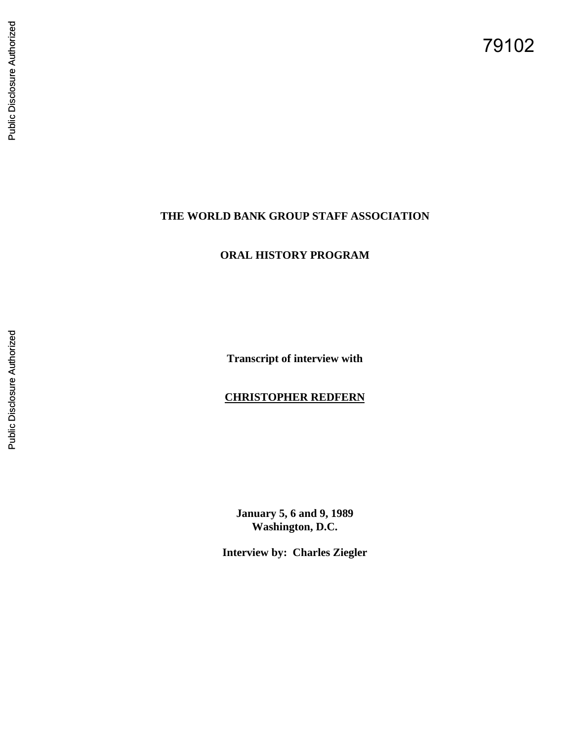79102

## **THE WORLD BANK GROUP STAFF ASSOCIATION**

# **ORAL HISTORY PROGRAM**

**Transcript of interview with** 

## **CHRISTOPHER REDFERN**

**January 5, 6 and 9, 1989 Washington, D.C.** 

**Interview by: Charles Ziegler**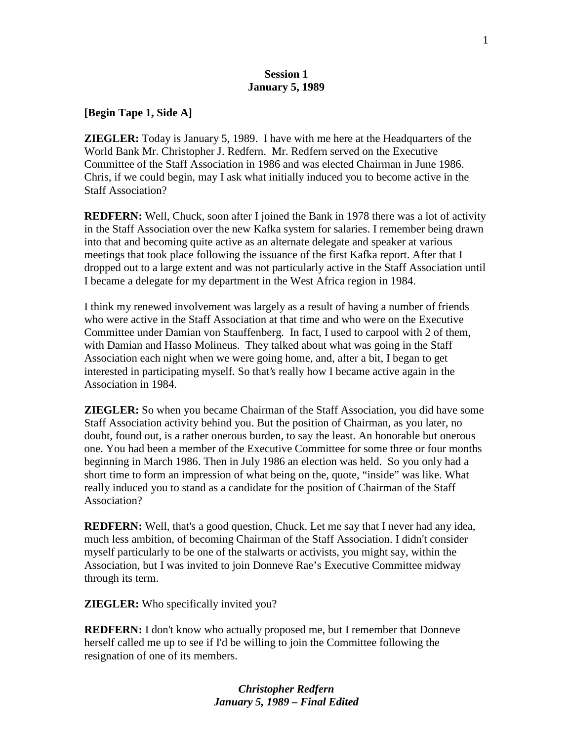#### **Session 1 January 5, 1989**

**[Begin Tape 1, Side A]** 

**ZIEGLER:** Today is January 5, 1989. I have with me here at the Headquarters of the World Bank Mr. Christopher J. Redfern. Mr. Redfern served on the Executive Committee of the Staff Association in 1986 and was elected Chairman in June 1986. Chris, if we could begin, may I ask what initially induced you to become active in the Staff Association?

**REDFERN:** Well, Chuck, soon after I joined the Bank in 1978 there was a lot of activity in the Staff Association over the new Kafka system for salaries. I remember being drawn into that and becoming quite active as an alternate delegate and speaker at various meetings that took place following the issuance of the first Kafka report. After that I dropped out to a large extent and was not particularly active in the Staff Association until I became a delegate for my department in the West Africa region in 1984.

I think my renewed involvement was largely as a result of having a number of friends who were active in the Staff Association at that time and who were on the Executive Committee under Damian von Stauffenberg. In fact, I used to carpool with 2 of them, with Damian and Hasso Molineus. They talked about what was going in the Staff Association each night when we were going home, and, after a bit, I began to get interested in participating myself. So that's really how I became active again in the Association in 1984.

**ZIEGLER:** So when you became Chairman of the Staff Association, you did have some Staff Association activity behind you. But the position of Chairman, as you later, no doubt, found out, is a rather onerous burden, to say the least. An honorable but onerous one. You had been a member of the Executive Committee for some three or four months beginning in March 1986. Then in July 1986 an election was held. So you only had a short time to form an impression of what being on the, quote, "inside" was like. What really induced you to stand as a candidate for the position of Chairman of the Staff Association?

**REDFERN:** Well, that's a good question, Chuck. Let me say that I never had any idea, much less ambition, of becoming Chairman of the Staff Association. I didn't consider myself particularly to be one of the stalwarts or activists, you might say, within the Association, but I was invited to join Donneve Rae's Executive Committee midway through its term.

**ZIEGLER:** Who specifically invited you?

**REDFERN:** I don't know who actually proposed me, but I remember that Donneve herself called me up to see if I'd be willing to join the Committee following the resignation of one of its members.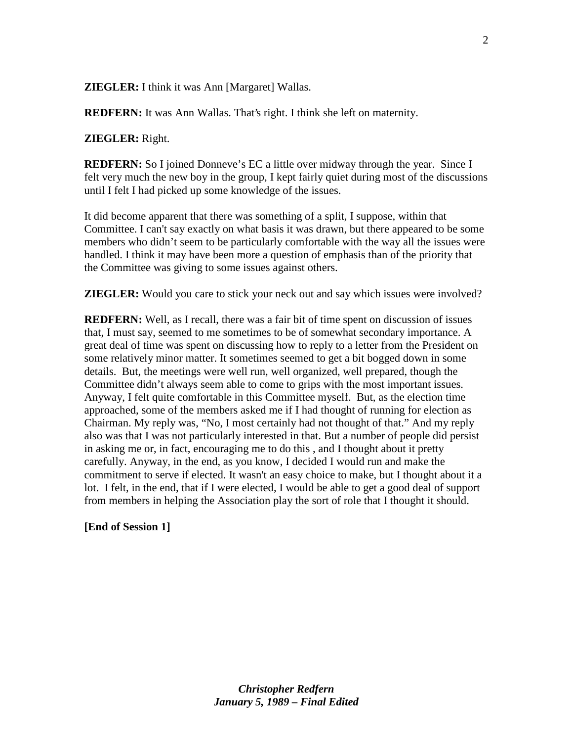**ZIEGLER:** I think it was Ann [Margaret] Wallas.

**REDFERN:** It was Ann Wallas. That's right. I think she left on maternity.

#### **ZIEGLER:** Right.

**REDFERN:** So I joined Donneve's EC a little over midway through the year. Since I felt very much the new boy in the group, I kept fairly quiet during most of the discussions until I felt I had picked up some knowledge of the issues.

It did become apparent that there was something of a split, I suppose, within that Committee. I can't say exactly on what basis it was drawn, but there appeared to be some members who didn't seem to be particularly comfortable with the way all the issues were handled. I think it may have been more a question of emphasis than of the priority that the Committee was giving to some issues against others.

**ZIEGLER:** Would you care to stick your neck out and say which issues were involved?

**REDFERN:** Well, as I recall, there was a fair bit of time spent on discussion of issues that, I must say, seemed to me sometimes to be of somewhat secondary importance. A great deal of time was spent on discussing how to reply to a letter from the President on some relatively minor matter. It sometimes seemed to get a bit bogged down in some details. But, the meetings were well run, well organized, well prepared, though the Committee didn't always seem able to come to grips with the most important issues. Anyway, I felt quite comfortable in this Committee myself. But, as the election time approached, some of the members asked me if I had thought of running for election as Chairman. My reply was, "No, I most certainly had not thought of that." And my reply also was that I was not particularly interested in that. But a number of people did persist in asking me or, in fact, encouraging me to do this , and I thought about it pretty carefully. Anyway, in the end, as you know, I decided I would run and make the commitment to serve if elected. It wasn't an easy choice to make, but I thought about it a lot. I felt, in the end, that if I were elected, I would be able to get a good deal of support from members in helping the Association play the sort of role that I thought it should.

#### **[End of Session 1]**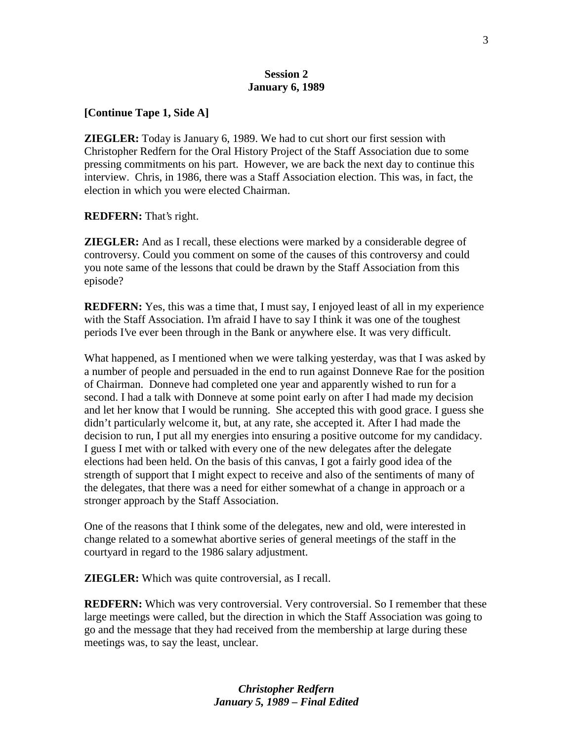#### **Session 2 January 6, 1989**

#### **[Continue Tape 1, Side A]**

**ZIEGLER:** Today is January 6, 1989. We had to cut short our first session with Christopher Redfern for the Oral History Project of the Staff Association due to some pressing commitments on his part. However, we are back the next day to continue this interview. Chris, in 1986, there was a Staff Association election. This was, in fact, the election in which you were elected Chairman.

**REDFERN:** That's right.

**ZIEGLER:** And as I recall, these elections were marked by a considerable degree of controversy. Could you comment on some of the causes of this controversy and could you note same of the lessons that could be drawn by the Staff Association from this episode?

**REDFERN:** Yes, this was a time that, I must say, I enjoyed least of all in my experience with the Staff Association. I'm afraid I have to say I think it was one of the toughest periods I've ever been through in the Bank or anywhere else. It was very difficult.

What happened, as I mentioned when we were talking yesterday, was that I was asked by a number of people and persuaded in the end to run against Donneve Rae for the position of Chairman. Donneve had completed one year and apparently wished to run for a second. I had a talk with Donneve at some point early on after I had made my decision and let her know that I would be running. She accepted this with good grace. I guess she didn't particularly welcome it, but, at any rate, she accepted it. After I had made the decision to run, I put all my energies into ensuring a positive outcome for my candidacy. I guess I met with or talked with every one of the new delegates after the delegate elections had been held. On the basis of this canvas, I got a fairly good idea of the strength of support that I might expect to receive and also of the sentiments of many of the delegates, that there was a need for either somewhat of a change in approach or a stronger approach by the Staff Association.

One of the reasons that I think some of the delegates, new and old, were interested in change related to a somewhat abortive series of general meetings of the staff in the courtyard in regard to the 1986 salary adjustment.

**ZIEGLER:** Which was quite controversial, as I recall.

**REDFERN:** Which was very controversial. Very controversial. So I remember that these large meetings were called, but the direction in which the Staff Association was going to go and the message that they had received from the membership at large during these meetings was, to say the least, unclear.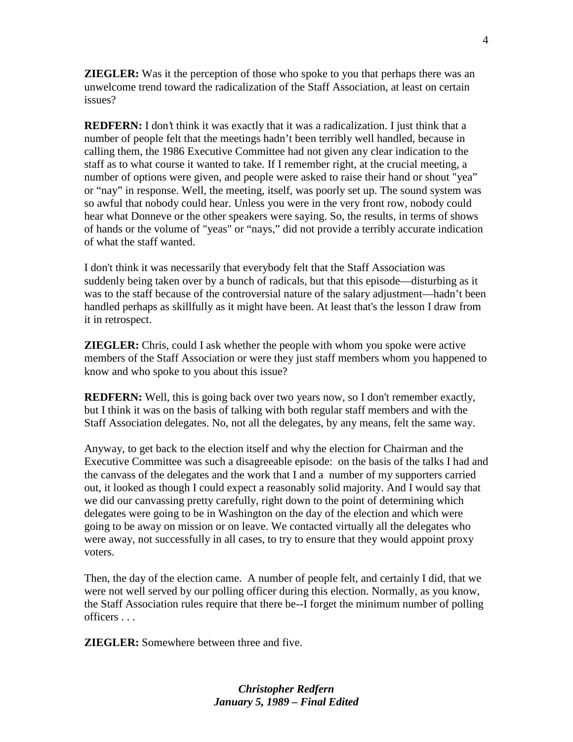**ZIEGLER:** Was it the perception of those who spoke to you that perhaps there was an unwelcome trend toward the radicalization of the Staff Association, at least on certain issues?

**REDFERN:** I don't think it was exactly that it was a radicalization. I just think that a number of people felt that the meetings hadn't been terribly well handled, because in calling them, the 1986 Executive Committee had not given any clear indication to the staff as to what course it wanted to take. If I remember right, at the crucial meeting, a number of options were given, and people were asked to raise their hand or shout "yea" or "nay" in response. Well, the meeting, itself, was poorly set up. The sound system was so awful that nobody could hear. Unless you were in the very front row, nobody could hear what Donneve or the other speakers were saying. So, the results, in terms of shows of hands or the volume of "yeas" or "nays," did not provide a terribly accurate indication of what the staff wanted.

I don't think it was necessarily that everybody felt that the Staff Association was suddenly being taken over by a bunch of radicals, but that this episode—disturbing as it was to the staff because of the controversial nature of the salary adjustment—hadn't been handled perhaps as skillfully as it might have been. At least that's the lesson I draw from it in retrospect.

**ZIEGLER:** Chris, could I ask whether the people with whom you spoke were active members of the Staff Association or were they just staff members whom you happened to know and who spoke to you about this issue?

**REDFERN:** Well, this is going back over two years now, so I don't remember exactly, but I think it was on the basis of talking with both regular staff members and with the Staff Association delegates. No, not all the delegates, by any means, felt the same way.

Anyway, to get back to the election itself and why the election for Chairman and the Executive Committee was such a disagreeable episode: on the basis of the talks I had and the canvass of the delegates and the work that I and a number of my supporters carried out, it looked as though I could expect a reasonably solid majority. And I would say that we did our canvassing pretty carefully, right down to the point of determining which delegates were going to be in Washington on the day of the election and which were going to be away on mission or on leave. We contacted virtually all the delegates who were away, not successfully in all cases, to try to ensure that they would appoint proxy voters.

Then, the day of the election came. A number of people felt, and certainly I did, that we were not well served by our polling officer during this election. Normally, as you know, the Staff Association rules require that there be--I forget the minimum number of polling officers . . .

**ZIEGLER:** Somewhere between three and five.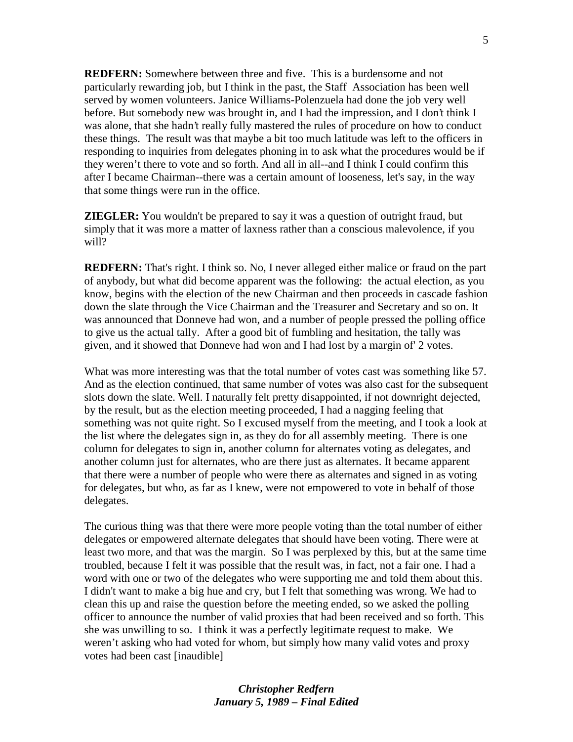**REDFERN:** Somewhere between three and five. This is a burdensome and not particularly rewarding job, but I think in the past, the Staff Association has been well served by women volunteers. Janice Williams-Polenzuela had done the job very well before. But somebody new was brought in, and I had the impression, and I don't think I was alone, that she hadn't really fully mastered the rules of procedure on how to conduct these things. The result was that maybe a bit too much latitude was left to the officers in responding to inquiries from delegates phoning in to ask what the procedures would be if they weren't there to vote and so forth. And all in all--and I think I could confirm this after I became Chairman--there was a certain amount of looseness, let's say, in the way that some things were run in the office.

**ZIEGLER:** You wouldn't be prepared to say it was a question of outright fraud, but simply that it was more a matter of laxness rather than a conscious malevolence, if you will?

**REDFERN:** That's right. I think so. No, I never alleged either malice or fraud on the part of anybody, but what did become apparent was the following: the actual election, as you know, begins with the election of the new Chairman and then proceeds in cascade fashion down the slate through the Vice Chairman and the Treasurer and Secretary and so on. It was announced that Donneve had won, and a number of people pressed the polling office to give us the actual tally. After a good bit of fumbling and hesitation, the tally was given, and it showed that Donneve had won and I had lost by a margin of' 2 votes.

What was more interesting was that the total number of votes cast was something like 57. And as the election continued, that same number of votes was also cast for the subsequent slots down the slate. Well. I naturally felt pretty disappointed, if not downright dejected, by the result, but as the election meeting proceeded, I had a nagging feeling that something was not quite right. So I excused myself from the meeting, and I took a look at the list where the delegates sign in, as they do for all assembly meeting. There is one column for delegates to sign in, another column for alternates voting as delegates, and another column just for alternates, who are there just as alternates. It became apparent that there were a number of people who were there as alternates and signed in as voting for delegates, but who, as far as I knew, were not empowered to vote in behalf of those delegates.

The curious thing was that there were more people voting than the total number of either delegates or empowered alternate delegates that should have been voting. There were at least two more, and that was the margin. So I was perplexed by this, but at the same time troubled, because I felt it was possible that the result was, in fact, not a fair one. I had a word with one or two of the delegates who were supporting me and told them about this. I didn't want to make a big hue and cry, but I felt that something was wrong. We had to clean this up and raise the question before the meeting ended, so we asked the polling officer to announce the number of valid proxies that had been received and so forth. This she was unwilling to so. I think it was a perfectly legitimate request to make. We weren't asking who had voted for whom, but simply how many valid votes and proxy votes had been cast [inaudible]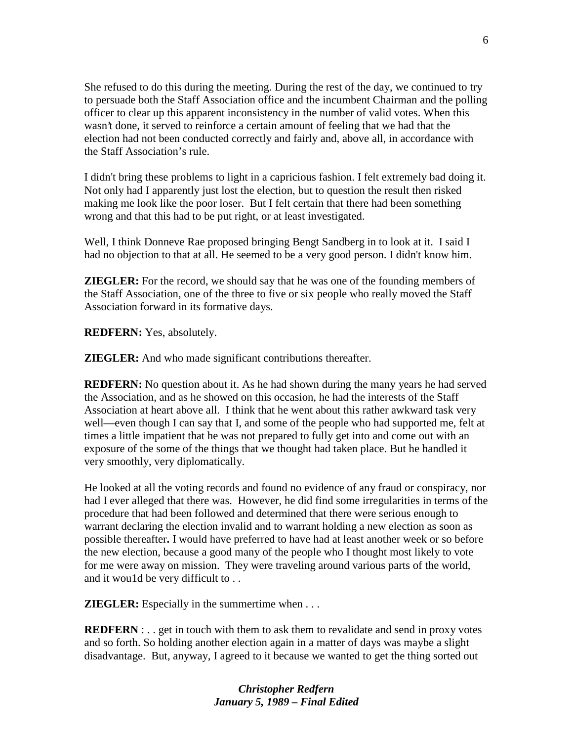She refused to do this during the meeting. During the rest of the day, we continued to try to persuade both the Staff Association office and the incumbent Chairman and the polling officer to clear up this apparent inconsistency in the number of valid votes. When this wasn't done, it served to reinforce a certain amount of feeling that we had that the election had not been conducted correctly and fairly and, above all, in accordance with the Staff Association's rule.

I didn't bring these problems to light in a capricious fashion. I felt extremely bad doing it. Not only had I apparently just lost the election, but to question the result then risked making me look like the poor loser. But I felt certain that there had been something wrong and that this had to be put right, or at least investigated.

Well, I think Donneve Rae proposed bringing Bengt Sandberg in to look at it. I said I had no objection to that at all. He seemed to be a very good person. I didn't know him.

**ZIEGLER:** For the record, we should say that he was one of the founding members of the Staff Association, one of the three to five or six people who really moved the Staff Association forward in its formative days.

**REDFERN:** Yes, absolutely.

**ZIEGLER:** And who made significant contributions thereafter.

**REDFERN:** No question about it. As he had shown during the many years he had served the Association, and as he showed on this occasion, he had the interests of the Staff Association at heart above all. I think that he went about this rather awkward task very well—even though I can say that I, and some of the people who had supported me, felt at times a little impatient that he was not prepared to fully get into and come out with an exposure of the some of the things that we thought had taken place. But he handled it very smoothly, very diplomatically.

He looked at all the voting records and found no evidence of any fraud or conspiracy, nor had I ever alleged that there was. However, he did find some irregularities in terms of the procedure that had been followed and determined that there were serious enough to warrant declaring the election invalid and to warrant holding a new election as soon as possible thereafter**.** I would have preferred to have had at least another week or so before the new election, because a good many of the people who I thought most likely to vote for me were away on mission. They were traveling around various parts of the world, and it wou1d be very difficult to . .

**ZIEGLER:** Especially in the summertime when . . .

**REDFERN** : . . get in touch with them to ask them to revalidate and send in proxy votes and so forth. So holding another election again in a matter of days was maybe a slight disadvantage. But, anyway, I agreed to it because we wanted to get the thing sorted out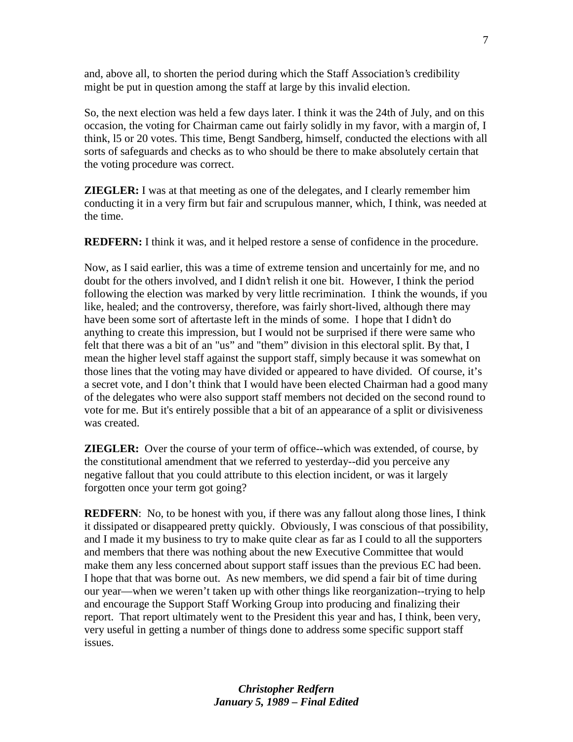and, above all, to shorten the period during which the Staff Association's credibility might be put in question among the staff at large by this invalid election.

So, the next election was held a few days later. I think it was the 24th of July, and on this occasion, the voting for Chairman came out fairly solidly in my favor, with a margin of, I think, l5 or 20 votes. This time, Bengt Sandberg, himself, conducted the elections with all sorts of safeguards and checks as to who should be there to make absolutely certain that the voting procedure was correct.

**ZIEGLER:** I was at that meeting as one of the delegates, and I clearly remember him conducting it in a very firm but fair and scrupulous manner, which, I think, was needed at the time.

**REDFERN:** I think it was, and it helped restore a sense of confidence in the procedure.

Now, as I said earlier, this was a time of extreme tension and uncertainly for me, and no doubt for the others involved, and I didn't relish it one bit. However, I think the period following the election was marked by very little recrimination. I think the wounds, if you like, healed; and the controversy, therefore, was fairly short-lived, although there may have been some sort of aftertaste left in the minds of some. I hope that I didn't do anything to create this impression, but I would not be surprised if there were same who felt that there was a bit of an "us" and "them" division in this electoral split. By that, I mean the higher level staff against the support staff, simply because it was somewhat on those lines that the voting may have divided or appeared to have divided. Of course, it's a secret vote, and I don't think that I would have been elected Chairman had a good many of the delegates who were also support staff members not decided on the second round to vote for me. But it's entirely possible that a bit of an appearance of a split or divisiveness was created.

**ZIEGLER:** Over the course of your term of office--which was extended, of course, by the constitutional amendment that we referred to yesterday--did you perceive any negative fallout that you could attribute to this election incident, or was it largely forgotten once your term got going?

**REDFERN:** No, to be honest with you, if there was any fallout along those lines, I think it dissipated or disappeared pretty quickly. Obviously, I was conscious of that possibility, and I made it my business to try to make quite clear as far as I could to all the supporters and members that there was nothing about the new Executive Committee that would make them any less concerned about support staff issues than the previous EC had been. I hope that that was borne out. As new members, we did spend a fair bit of time during our year—when we weren't taken up with other things like reorganization--trying to help and encourage the Support Staff Working Group into producing and finalizing their report. That report ultimately went to the President this year and has, I think, been very, very useful in getting a number of things done to address some specific support staff issues.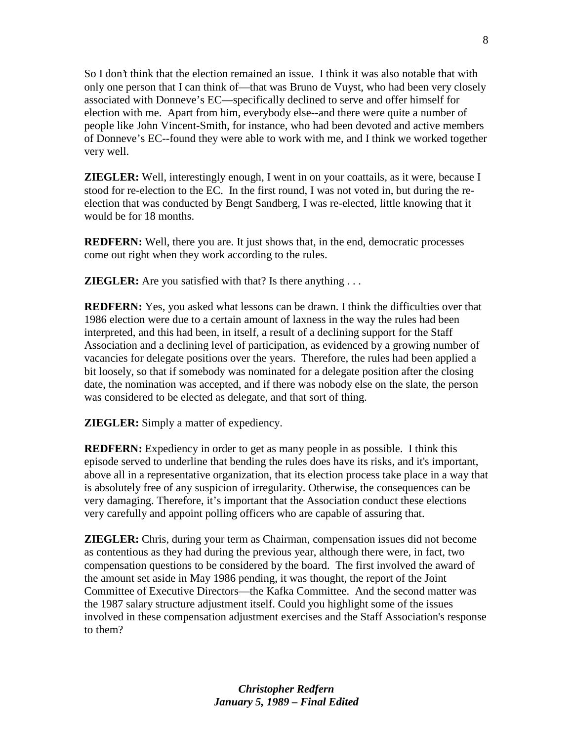So I don't think that the election remained an issue. I think it was also notable that with only one person that I can think of—that was Bruno de Vuyst, who had been very closely associated with Donneve's EC—specifically declined to serve and offer himself for election with me. Apart from him, everybody else--and there were quite a number of people like John Vincent-Smith, for instance, who had been devoted and active members of Donneve's EC--found they were able to work with me, and I think we worked together very well.

**ZIEGLER:** Well, interestingly enough, I went in on your coattails, as it were, because I stood for re-election to the EC. In the first round, I was not voted in, but during the reelection that was conducted by Bengt Sandberg, I was re-elected, little knowing that it would be for 18 months.

**REDFERN:** Well, there you are. It just shows that, in the end, democratic processes come out right when they work according to the rules.

**ZIEGLER:** Are you satisfied with that? Is there anything ...

**REDFERN:** Yes, you asked what lessons can be drawn. I think the difficulties over that 1986 election were due to a certain amount of laxness in the way the rules had been interpreted, and this had been, in itself, a result of a declining support for the Staff Association and a declining level of participation, as evidenced by a growing number of vacancies for delegate positions over the years. Therefore, the rules had been applied a bit loosely, so that if somebody was nominated for a delegate position after the closing date, the nomination was accepted, and if there was nobody else on the slate, the person was considered to be elected as delegate, and that sort of thing.

**ZIEGLER:** Simply a matter of expediency.

**REDFERN:** Expediency in order to get as many people in as possible. I think this episode served to underline that bending the rules does have its risks, and it's important, above all in a representative organization, that its election process take place in a way that is absolutely free of any suspicion of irregularity. Otherwise, the consequences can be very damaging. Therefore, it's important that the Association conduct these elections very carefully and appoint polling officers who are capable of assuring that.

**ZIEGLER:** Chris, during your term as Chairman, compensation issues did not become as contentious as they had during the previous year, although there were, in fact, two compensation questions to be considered by the board. The first involved the award of the amount set aside in May 1986 pending, it was thought, the report of the Joint Committee of Executive Directors—the Kafka Committee. And the second matter was the 1987 salary structure adjustment itself. Could you highlight some of the issues involved in these compensation adjustment exercises and the Staff Association's response to them?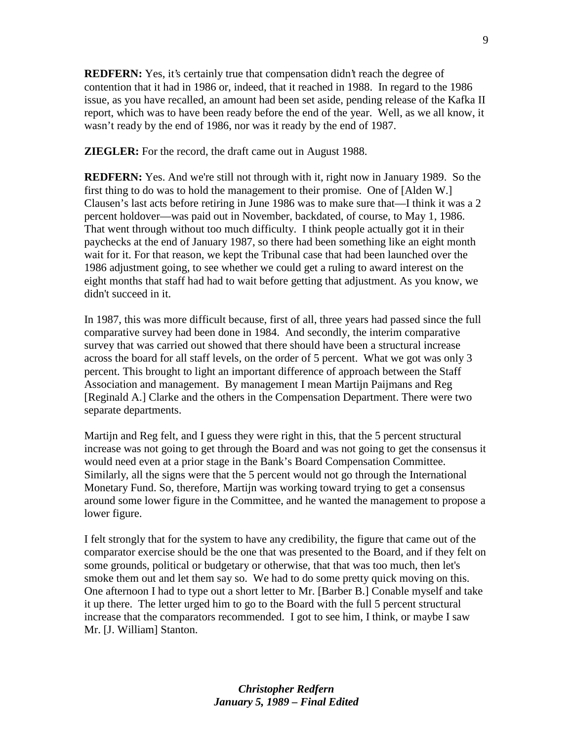**REDFERN:** Yes, it's certainly true that compensation didn't reach the degree of contention that it had in 1986 or, indeed, that it reached in 1988. In regard to the 1986 issue, as you have recalled, an amount had been set aside, pending release of the Kafka II report, which was to have been ready before the end of the year. Well, as we all know, it wasn't ready by the end of 1986, nor was it ready by the end of 1987.

**ZIEGLER:** For the record, the draft came out in August 1988.

**REDFERN:** Yes. And we're still not through with it, right now in January 1989. So the first thing to do was to hold the management to their promise. One of [Alden W.] Clausen's last acts before retiring in June 1986 was to make sure that—I think it was a 2 percent holdover—was paid out in November, backdated, of course, to May 1, 1986. That went through without too much difficulty. I think people actually got it in their paychecks at the end of January 1987, so there had been something like an eight month wait for it. For that reason, we kept the Tribunal case that had been launched over the 1986 adjustment going, to see whether we could get a ruling to award interest on the eight months that staff had had to wait before getting that adjustment. As you know, we didn't succeed in it.

In 1987, this was more difficult because, first of all, three years had passed since the full comparative survey had been done in 1984. And secondly, the interim comparative survey that was carried out showed that there should have been a structural increase across the board for all staff levels, on the order of 5 percent. What we got was only 3 percent. This brought to light an important difference of approach between the Staff Association and management. By management I mean Martijn Paijmans and Reg [Reginald A.] Clarke and the others in the Compensation Department. There were two separate departments.

Martijn and Reg felt, and I guess they were right in this, that the 5 percent structural increase was not going to get through the Board and was not going to get the consensus it would need even at a prior stage in the Bank's Board Compensation Committee. Similarly, all the signs were that the 5 percent would not go through the International Monetary Fund. So, therefore, Martijn was working toward trying to get a consensus around some lower figure in the Committee, and he wanted the management to propose a lower figure.

I felt strongly that for the system to have any credibility, the figure that came out of the comparator exercise should be the one that was presented to the Board, and if they felt on some grounds, political or budgetary or otherwise, that that was too much, then let's smoke them out and let them say so. We had to do some pretty quick moving on this. One afternoon I had to type out a short letter to Mr. [Barber B.] Conable myself and take it up there. The letter urged him to go to the Board with the full 5 percent structural increase that the comparators recommended. I got to see him, I think, or maybe I saw Mr. [J. William] Stanton.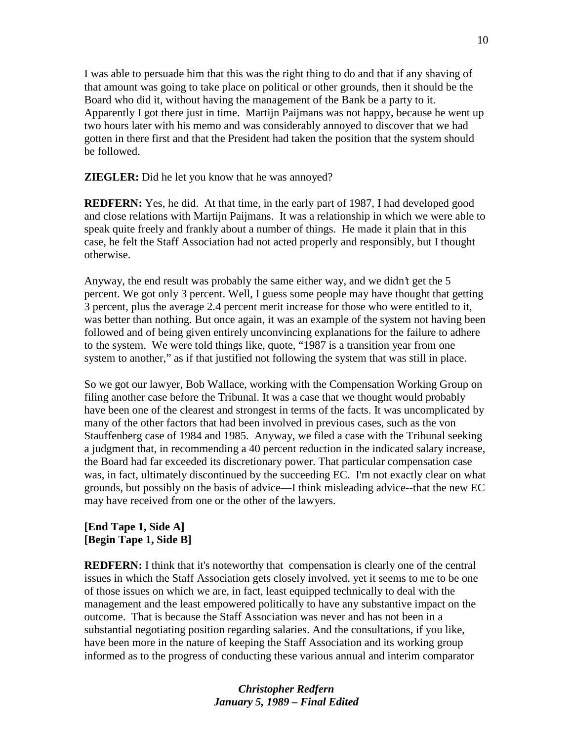I was able to persuade him that this was the right thing to do and that if any shaving of that amount was going to take place on political or other grounds, then it should be the Board who did it, without having the management of the Bank be a party to it. Apparently I got there just in time. Martijn Paijmans was not happy, because he went up two hours later with his memo and was considerably annoyed to discover that we had gotten in there first and that the President had taken the position that the system should be followed.

**ZIEGLER:** Did he let you know that he was annoyed?

**REDFERN:** Yes, he did. At that time, in the early part of 1987, I had developed good and close relations with Martijn Paijmans. It was a relationship in which we were able to speak quite freely and frankly about a number of things. He made it plain that in this case, he felt the Staff Association had not acted properly and responsibly, but I thought otherwise.

Anyway, the end result was probably the same either way, and we didn't get the 5 percent. We got only 3 percent. Well, I guess some people may have thought that getting 3 percent, plus the average 2.4 percent merit increase for those who were entitled to it, was better than nothing. But once again, it was an example of the system not having been followed and of being given entirely unconvincing explanations for the failure to adhere to the system. We were told things like, quote, "1987 is a transition year from one system to another," as if that justified not following the system that was still in place.

So we got our lawyer, Bob Wallace, working with the Compensation Working Group on filing another case before the Tribunal. It was a case that we thought would probably have been one of the clearest and strongest in terms of the facts. It was uncomplicated by many of the other factors that had been involved in previous cases, such as the von Stauffenberg case of 1984 and 1985. Anyway, we filed a case with the Tribunal seeking a judgment that, in recommending a 40 percent reduction in the indicated salary increase, the Board had far exceeded its discretionary power. That particular compensation case was, in fact, ultimately discontinued by the succeeding EC. I'm not exactly clear on what grounds, but possibly on the basis of advice—I think misleading advice--that the new EC may have received from one or the other of the lawyers.

## **[End Tape 1, Side A] [Begin Tape 1, Side B]**

**REDFERN:** I think that it's noteworthy that compensation is clearly one of the central issues in which the Staff Association gets closely involved, yet it seems to me to be one of those issues on which we are, in fact, least equipped technically to deal with the management and the least empowered politically to have any substantive impact on the outcome. That is because the Staff Association was never and has not been in a substantial negotiating position regarding salaries. And the consultations, if you like, have been more in the nature of keeping the Staff Association and its working group informed as to the progress of conducting these various annual and interim comparator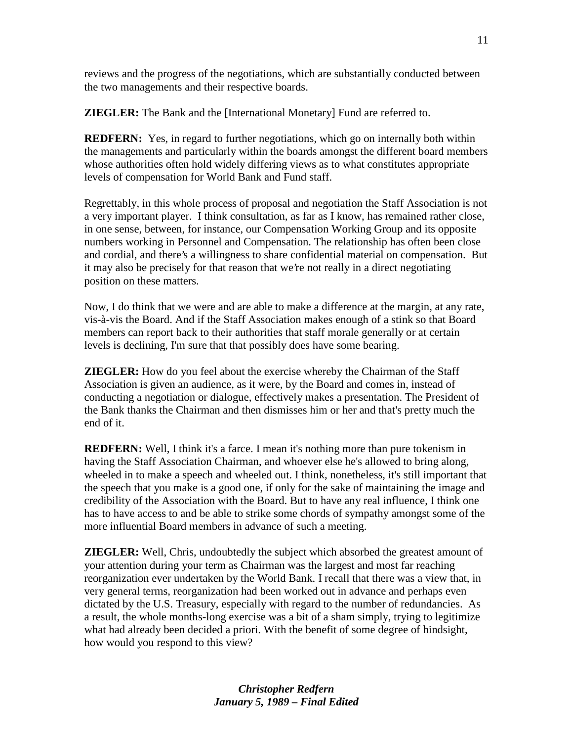reviews and the progress of the negotiations, which are substantially conducted between the two managements and their respective boards.

**ZIEGLER:** The Bank and the [International Monetary] Fund are referred to.

**REDFERN:** Yes, in regard to further negotiations, which go on internally both within the managements and particularly within the boards amongst the different board members whose authorities often hold widely differing views as to what constitutes appropriate levels of compensation for World Bank and Fund staff.

Regrettably, in this whole process of proposal and negotiation the Staff Association is not a very important player. I think consultation, as far as I know, has remained rather close, in one sense, between, for instance, our Compensation Working Group and its opposite numbers working in Personnel and Compensation. The relationship has often been close and cordial, and there's a willingness to share confidential material on compensation. But it may also be precisely for that reason that we're not really in a direct negotiating position on these matters.

Now, I do think that we were and are able to make a difference at the margin, at any rate, vis-à-vis the Board. And if the Staff Association makes enough of a stink so that Board members can report back to their authorities that staff morale generally or at certain levels is declining, I'm sure that that possibly does have some bearing.

**ZIEGLER:** How do you feel about the exercise whereby the Chairman of the Staff Association is given an audience, as it were, by the Board and comes in, instead of conducting a negotiation or dialogue, effectively makes a presentation. The President of the Bank thanks the Chairman and then dismisses him or her and that's pretty much the end of it.

**REDFERN:** Well, I think it's a farce. I mean it's nothing more than pure tokenism in having the Staff Association Chairman, and whoever else he's allowed to bring along, wheeled in to make a speech and wheeled out. I think, nonetheless, it's still important that the speech that you make is a good one, if only for the sake of maintaining the image and credibility of the Association with the Board. But to have any real influence, I think one has to have access to and be able to strike some chords of sympathy amongst some of the more influential Board members in advance of such a meeting.

**ZIEGLER:** Well, Chris, undoubtedly the subject which absorbed the greatest amount of your attention during your term as Chairman was the largest and most far reaching reorganization ever undertaken by the World Bank. I recall that there was a view that, in very general terms, reorganization had been worked out in advance and perhaps even dictated by the U.S. Treasury, especially with regard to the number of redundancies. As a result, the whole months-long exercise was a bit of a sham simply, trying to legitimize what had already been decided a priori. With the benefit of some degree of hindsight, how would you respond to this view?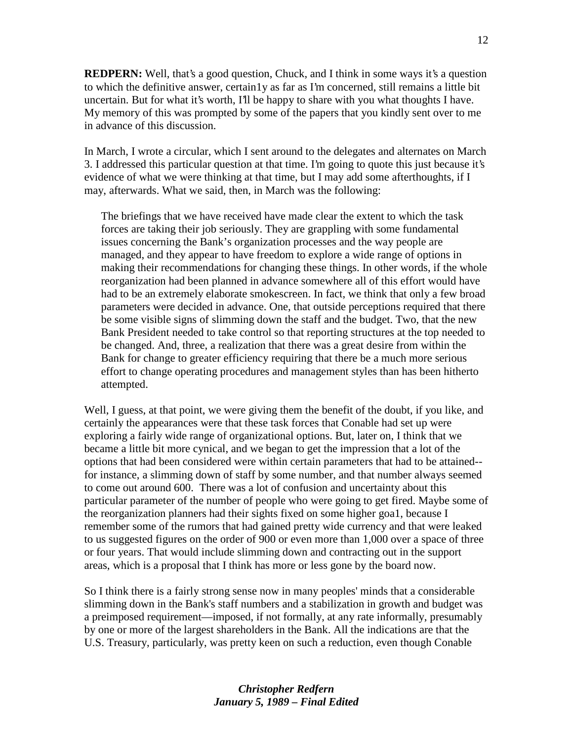**REDPERN:** Well, that's a good question, Chuck, and I think in some ways it's a question to which the definitive answer, certain1y as far as I'm concerned, still remains a little bit uncertain. But for what it's worth, I'll be happy to share with you what thoughts I have. My memory of this was prompted by some of the papers that you kindly sent over to me in advance of this discussion.

In March, I wrote a circular, which I sent around to the delegates and alternates on March 3. I addressed this particular question at that time. I'm going to quote this just because it's evidence of what we were thinking at that time, but I may add some afterthoughts, if I may, afterwards. What we said, then, in March was the following:

The briefings that we have received have made clear the extent to which the task forces are taking their job seriously. They are grappling with some fundamental issues concerning the Bank's organization processes and the way people are managed, and they appear to have freedom to explore a wide range of options in making their recommendations for changing these things. In other words, if the whole reorganization had been planned in advance somewhere all of this effort would have had to be an extremely elaborate smokescreen. In fact, we think that only a few broad parameters were decided in advance. One, that outside perceptions required that there be some visible signs of slimming down the staff and the budget. Two, that the new Bank President needed to take control so that reporting structures at the top needed to be changed. And, three, a realization that there was a great desire from within the Bank for change to greater efficiency requiring that there be a much more serious effort to change operating procedures and management styles than has been hitherto attempted.

Well, I guess, at that point, we were giving them the benefit of the doubt, if you like, and certainly the appearances were that these task forces that Conable had set up were exploring a fairly wide range of organizational options. But, later on, I think that we became a little bit more cynical, and we began to get the impression that a lot of the options that had been considered were within certain parameters that had to be attained- for instance, a slimming down of staff by some number, and that number always seemed to come out around 600. There was a lot of confusion and uncertainty about this particular parameter of the number of people who were going to get fired. Maybe some of the reorganization planners had their sights fixed on some higher goa1, because I remember some of the rumors that had gained pretty wide currency and that were leaked to us suggested figures on the order of 900 or even more than 1,000 over a space of three or four years. That would include slimming down and contracting out in the support areas, which is a proposal that I think has more or less gone by the board now.

So I think there is a fairly strong sense now in many peoples' minds that a considerable slimming down in the Bank's staff numbers and a stabilization in growth and budget was a preimposed requirement—imposed, if not formally, at any rate informally, presumably by one or more of the largest shareholders in the Bank. All the indications are that the U.S. Treasury, particularly, was pretty keen on such a reduction, even though Conable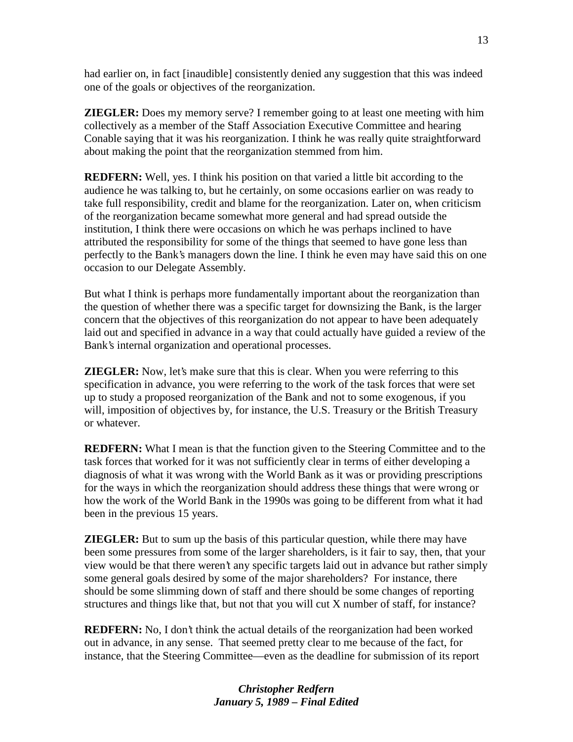had earlier on, in fact [inaudible] consistently denied any suggestion that this was indeed one of the goals or objectives of the reorganization.

**ZIEGLER:** Does my memory serve? I remember going to at least one meeting with him collectively as a member of the Staff Association Executive Committee and hearing Conable saying that it was his reorganization. I think he was really quite straightforward about making the point that the reorganization stemmed from him.

**REDFERN:** Well, yes. I think his position on that varied a little bit according to the audience he was talking to, but he certainly, on some occasions earlier on was ready to take full responsibility, credit and blame for the reorganization. Later on, when criticism of the reorganization became somewhat more general and had spread outside the institution, I think there were occasions on which he was perhaps inclined to have attributed the responsibility for some of the things that seemed to have gone less than perfectly to the Bank's managers down the line. I think he even may have said this on one occasion to our Delegate Assembly.

But what I think is perhaps more fundamentally important about the reorganization than the question of whether there was a specific target for downsizing the Bank, is the larger concern that the objectives of this reorganization do not appear to have been adequately laid out and specified in advance in a way that could actually have guided a review of the Bank's internal organization and operational processes.

**ZIEGLER:** Now, let's make sure that this is clear. When you were referring to this specification in advance, you were referring to the work of the task forces that were set up to study a proposed reorganization of the Bank and not to some exogenous, if you will, imposition of objectives by, for instance, the U.S. Treasury or the British Treasury or whatever.

**REDFERN:** What I mean is that the function given to the Steering Committee and to the task forces that worked for it was not sufficiently clear in terms of either developing a diagnosis of what it was wrong with the World Bank as it was or providing prescriptions for the ways in which the reorganization should address these things that were wrong or how the work of the World Bank in the 1990s was going to be different from what it had been in the previous 15 years.

**ZIEGLER:** But to sum up the basis of this particular question, while there may have been some pressures from some of the larger shareholders, is it fair to say, then, that your view would be that there weren't any specific targets laid out in advance but rather simply some general goals desired by some of the major shareholders? For instance, there should be some slimming down of staff and there should be some changes of reporting structures and things like that, but not that you will cut X number of staff, for instance?

**REDFERN:** No, I don't think the actual details of the reorganization had been worked out in advance, in any sense. That seemed pretty clear to me because of the fact, for instance, that the Steering Committee—even as the deadline for submission of its report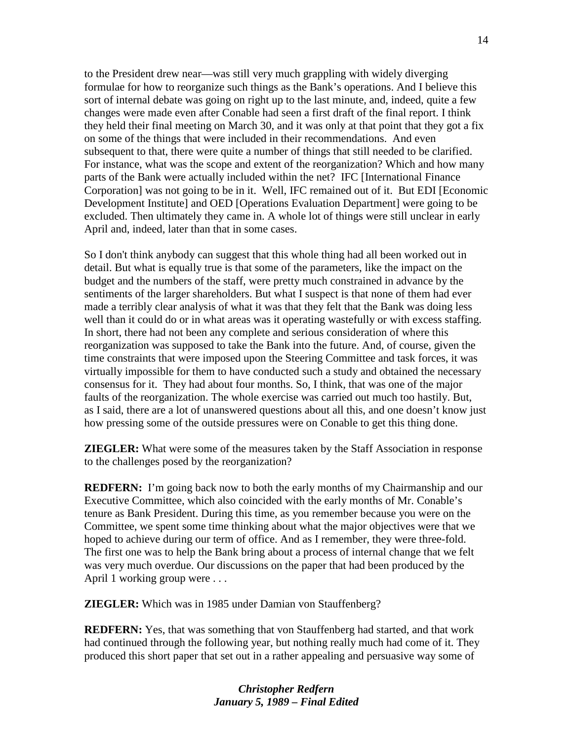to the President drew near—was still very much grappling with widely diverging formulae for how to reorganize such things as the Bank's operations. And I believe this sort of internal debate was going on right up to the last minute, and, indeed, quite a few changes were made even after Conable had seen a first draft of the final report. I think they held their final meeting on March 30, and it was only at that point that they got a fix on some of the things that were included in their recommendations. And even subsequent to that, there were quite a number of things that still needed to be clarified. For instance, what was the scope and extent of the reorganization? Which and how many parts of the Bank were actually included within the net? IFC [International Finance Corporation] was not going to be in it. Well, IFC remained out of it. But EDI [Economic Development Institute] and OED [Operations Evaluation Department] were going to be excluded. Then ultimately they came in. A whole lot of things were still unclear in early April and, indeed, later than that in some cases.

So I don't think anybody can suggest that this whole thing had all been worked out in detail. But what is equally true is that some of the parameters, like the impact on the budget and the numbers of the staff, were pretty much constrained in advance by the sentiments of the larger shareholders. But what I suspect is that none of them had ever made a terribly clear analysis of what it was that they felt that the Bank was doing less well than it could do or in what areas was it operating wastefully or with excess staffing. In short, there had not been any complete and serious consideration of where this reorganization was supposed to take the Bank into the future. And, of course, given the time constraints that were imposed upon the Steering Committee and task forces, it was virtually impossible for them to have conducted such a study and obtained the necessary consensus for it. They had about four months. So, I think, that was one of the major faults of the reorganization. The whole exercise was carried out much too hastily. But, as I said, there are a lot of unanswered questions about all this, and one doesn't know just how pressing some of the outside pressures were on Conable to get this thing done.

**ZIEGLER:** What were some of the measures taken by the Staff Association in response to the challenges posed by the reorganization?

**REDFERN:** I'm going back now to both the early months of my Chairmanship and our Executive Committee, which also coincided with the early months of Mr. Conable's tenure as Bank President. During this time, as you remember because you were on the Committee, we spent some time thinking about what the major objectives were that we hoped to achieve during our term of office. And as I remember, they were three-fold. The first one was to help the Bank bring about a process of internal change that we felt was very much overdue. Our discussions on the paper that had been produced by the April 1 working group were . . .

**ZIEGLER:** Which was in 1985 under Damian von Stauffenberg?

**REDFERN:** Yes, that was something that von Stauffenberg had started, and that work had continued through the following year, but nothing really much had come of it. They produced this short paper that set out in a rather appealing and persuasive way some of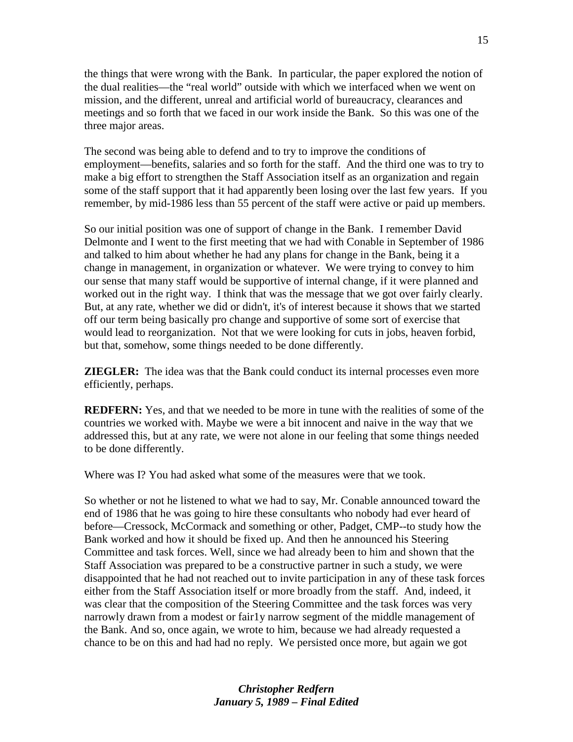the things that were wrong with the Bank. In particular, the paper explored the notion of the dual realities—the "real world" outside with which we interfaced when we went on mission, and the different, unreal and artificial world of bureaucracy, clearances and meetings and so forth that we faced in our work inside the Bank. So this was one of the three major areas.

The second was being able to defend and to try to improve the conditions of employment—benefits, salaries and so forth for the staff. And the third one was to try to make a big effort to strengthen the Staff Association itself as an organization and regain some of the staff support that it had apparently been losing over the last few years. If you remember, by mid-1986 less than 55 percent of the staff were active or paid up members.

So our initial position was one of support of change in the Bank. I remember David Delmonte and I went to the first meeting that we had with Conable in September of 1986 and talked to him about whether he had any plans for change in the Bank, being it a change in management, in organization or whatever. We were trying to convey to him our sense that many staff would be supportive of internal change, if it were planned and worked out in the right way. I think that was the message that we got over fairly clearly. But, at any rate, whether we did or didn't, it's of interest because it shows that we started off our term being basically pro change and supportive of some sort of exercise that would lead to reorganization. Not that we were looking for cuts in jobs, heaven forbid, but that, somehow, some things needed to be done differently.

**ZIEGLER:** The idea was that the Bank could conduct its internal processes even more efficiently, perhaps.

**REDFERN:** Yes, and that we needed to be more in tune with the realities of some of the countries we worked with. Maybe we were a bit innocent and naive in the way that we addressed this, but at any rate, we were not alone in our feeling that some things needed to be done differently.

Where was I? You had asked what some of the measures were that we took.

So whether or not he listened to what we had to say, Mr. Conable announced toward the end of 1986 that he was going to hire these consultants who nobody had ever heard of before—Cressock, McCormack and something or other, Padget, CMP--to study how the Bank worked and how it should be fixed up. And then he announced his Steering Committee and task forces. Well, since we had already been to him and shown that the Staff Association was prepared to be a constructive partner in such a study, we were disappointed that he had not reached out to invite participation in any of these task forces either from the Staff Association itself or more broadly from the staff. And, indeed, it was clear that the composition of the Steering Committee and the task forces was very narrowly drawn from a modest or fair1y narrow segment of the middle management of the Bank. And so, once again, we wrote to him, because we had already requested a chance to be on this and had had no reply. We persisted once more, but again we got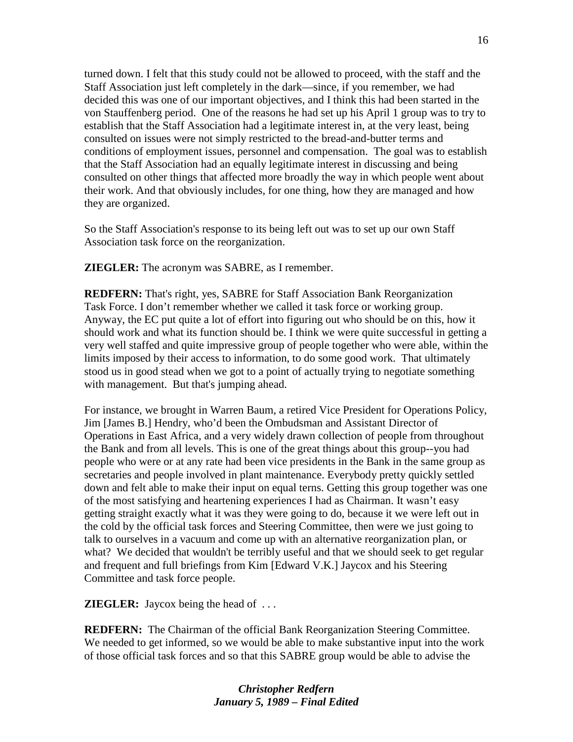turned down. I felt that this study could not be allowed to proceed, with the staff and the Staff Association just left completely in the dark—since, if you remember, we had decided this was one of our important objectives, and I think this had been started in the von Stauffenberg period. One of the reasons he had set up his April 1 group was to try to establish that the Staff Association had a legitimate interest in, at the very least, being consulted on issues were not simply restricted to the bread-and-butter terms and conditions of employment issues, personnel and compensation. The goal was to establish that the Staff Association had an equally legitimate interest in discussing and being consulted on other things that affected more broadly the way in which people went about their work. And that obviously includes, for one thing, how they are managed and how they are organized.

So the Staff Association's response to its being left out was to set up our own Staff Association task force on the reorganization.

**ZIEGLER:** The acronym was SABRE, as I remember.

**REDFERN:** That's right, yes, SABRE for Staff Association Bank Reorganization Task Force. I don't remember whether we called it task force or working group. Anyway, the EC put quite a lot of effort into figuring out who should be on this, how it should work and what its function should be. I think we were quite successful in getting a very well staffed and quite impressive group of people together who were able, within the limits imposed by their access to information, to do some good work. That ultimately stood us in good stead when we got to a point of actually trying to negotiate something with management. But that's jumping ahead.

For instance, we brought in Warren Baum, a retired Vice President for Operations Policy, Jim [James B.] Hendry, who'd been the Ombudsman and Assistant Director of Operations in East Africa, and a very widely drawn collection of people from throughout the Bank and from all levels. This is one of the great things about this group--you had people who were or at any rate had been vice presidents in the Bank in the same group as secretaries and people involved in plant maintenance. Everybody pretty quickly settled down and felt able to make their input on equal terns. Getting this group together was one of the most satisfying and heartening experiences I had as Chairman. It wasn't easy getting straight exactly what it was they were going to do, because it we were left out in the cold by the official task forces and Steering Committee, then were we just going to talk to ourselves in a vacuum and come up with an alternative reorganization plan, or what? We decided that wouldn't be terribly useful and that we should seek to get regular and frequent and full briefings from Kim [Edward V.K.] Jaycox and his Steering Committee and task force people.

**ZIEGLER:** Jaycox being the head of ...

**REDFERN:** The Chairman of the official Bank Reorganization Steering Committee. We needed to get informed, so we would be able to make substantive input into the work of those official task forces and so that this SABRE group would be able to advise the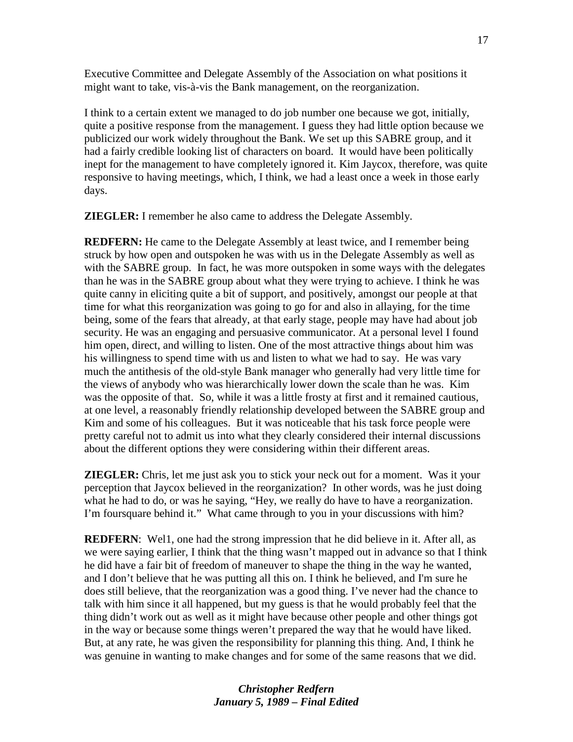Executive Committee and Delegate Assembly of the Association on what positions it might want to take, vis-à-vis the Bank management, on the reorganization.

I think to a certain extent we managed to do job number one because we got, initially, quite a positive response from the management. I guess they had little option because we publicized our work widely throughout the Bank. We set up this SABRE group, and it had a fairly credible looking list of characters on board. It would have been politically inept for the management to have completely ignored it. Kim Jaycox, therefore, was quite responsive to having meetings, which, I think, we had a least once a week in those early days.

**ZIEGLER:** I remember he also came to address the Delegate Assembly.

**REDFERN:** He came to the Delegate Assembly at least twice, and I remember being struck by how open and outspoken he was with us in the Delegate Assembly as well as with the SABRE group. In fact, he was more outspoken in some ways with the delegates than he was in the SABRE group about what they were trying to achieve. I think he was quite canny in eliciting quite a bit of support, and positively, amongst our people at that time for what this reorganization was going to go for and also in allaying, for the time being, some of the fears that already, at that early stage, people may have had about job security. He was an engaging and persuasive communicator. At a personal level I found him open, direct, and willing to listen. One of the most attractive things about him was his willingness to spend time with us and listen to what we had to say. He was vary much the antithesis of the old-style Bank manager who generally had very little time for the views of anybody who was hierarchically lower down the scale than he was. Kim was the opposite of that. So, while it was a little frosty at first and it remained cautious, at one level, a reasonably friendly relationship developed between the SABRE group and Kim and some of his colleagues. But it was noticeable that his task force people were pretty careful not to admit us into what they clearly considered their internal discussions about the different options they were considering within their different areas.

**ZIEGLER:** Chris, let me just ask you to stick your neck out for a moment. Was it your perception that Jaycox believed in the reorganization? In other words, was he just doing what he had to do, or was he saying, "Hey, we really do have to have a reorganization. I'm foursquare behind it." What came through to you in your discussions with him?

**REDFERN:** Well, one had the strong impression that he did believe in it. After all, as we were saying earlier, I think that the thing wasn't mapped out in advance so that I think he did have a fair bit of freedom of maneuver to shape the thing in the way he wanted, and I don't believe that he was putting all this on. I think he believed, and I'm sure he does still believe, that the reorganization was a good thing. I've never had the chance to talk with him since it all happened, but my guess is that he would probably feel that the thing didn't work out as well as it might have because other people and other things got in the way or because some things weren't prepared the way that he would have liked. But, at any rate, he was given the responsibility for planning this thing. And, I think he was genuine in wanting to make changes and for some of the same reasons that we did.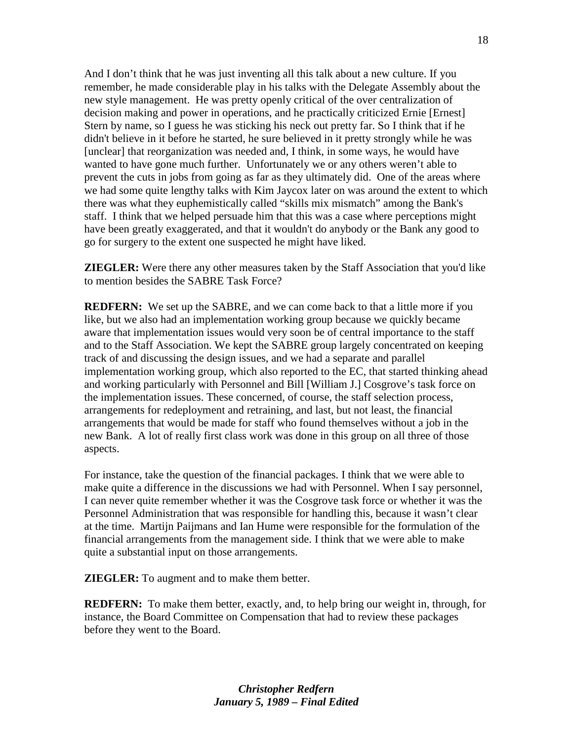And I don't think that he was just inventing all this talk about a new culture. If you remember, he made considerable play in his talks with the Delegate Assembly about the new style management. He was pretty openly critical of the over centralization of decision making and power in operations, and he practically criticized Ernie [Ernest] Stern by name, so I guess he was sticking his neck out pretty far. So I think that if he didn't believe in it before he started, he sure believed in it pretty strongly while he was [unclear] that reorganization was needed and, I think, in some ways, he would have wanted to have gone much further. Unfortunately we or any others weren't able to prevent the cuts in jobs from going as far as they ultimately did. One of the areas where we had some quite lengthy talks with Kim Jaycox later on was around the extent to which there was what they euphemistically called "skills mix mismatch" among the Bank's staff. I think that we helped persuade him that this was a case where perceptions might have been greatly exaggerated, and that it wouldn't do anybody or the Bank any good to go for surgery to the extent one suspected he might have liked.

**ZIEGLER:** Were there any other measures taken by the Staff Association that you'd like to mention besides the SABRE Task Force?

**REDFERN:** We set up the SABRE, and we can come back to that a little more if you like, but we also had an implementation working group because we quickly became aware that implementation issues would very soon be of central importance to the staff and to the Staff Association. We kept the SABRE group largely concentrated on keeping track of and discussing the design issues, and we had a separate and parallel implementation working group, which also reported to the EC, that started thinking ahead and working particularly with Personnel and Bill [William J.] Cosgrove's task force on the implementation issues. These concerned, of course, the staff selection process, arrangements for redeployment and retraining, and last, but not least, the financial arrangements that would be made for staff who found themselves without a job in the new Bank. A lot of really first class work was done in this group on all three of those aspects.

For instance, take the question of the financial packages. I think that we were able to make quite a difference in the discussions we had with Personnel. When I say personnel, I can never quite remember whether it was the Cosgrove task force or whether it was the Personnel Administration that was responsible for handling this, because it wasn't clear at the time. Martijn Paijmans and Ian Hume were responsible for the formulation of the financial arrangements from the management side. I think that we were able to make quite a substantial input on those arrangements.

**ZIEGLER:** To augment and to make them better.

**REDFERN:** To make them better, exactly, and, to help bring our weight in, through, for instance, the Board Committee on Compensation that had to review these packages before they went to the Board.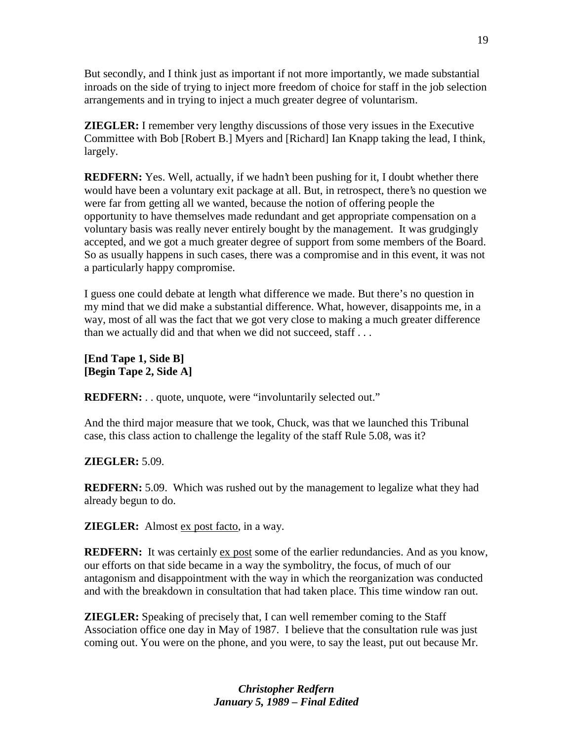But secondly, and I think just as important if not more importantly, we made substantial inroads on the side of trying to inject more freedom of choice for staff in the job selection arrangements and in trying to inject a much greater degree of voluntarism.

**ZIEGLER:** I remember very lengthy discussions of those very issues in the Executive Committee with Bob [Robert B.] Myers and [Richard] Ian Knapp taking the lead, I think, largely.

**REDFERN:** Yes. Well, actually, if we hadn't been pushing for it, I doubt whether there would have been a voluntary exit package at all. But, in retrospect, there's no question we were far from getting all we wanted, because the notion of offering people the opportunity to have themselves made redundant and get appropriate compensation on a voluntary basis was really never entirely bought by the management. It was grudgingly accepted, and we got a much greater degree of support from some members of the Board. So as usually happens in such cases, there was a compromise and in this event, it was not a particularly happy compromise.

I guess one could debate at length what difference we made. But there's no question in my mind that we did make a substantial difference. What, however, disappoints me, in a way, most of all was the fact that we got very close to making a much greater difference than we actually did and that when we did not succeed, staff . . .

**[End Tape 1, Side B] [Begin Tape 2, Side A]** 

**REDFERN:** . . quote, unquote, were "involuntarily selected out."

And the third major measure that we took, Chuck, was that we launched this Tribunal case, this class action to challenge the legality of the staff Rule 5.08, was it?

## **ZIEGLER:** 5.09.

**REDFERN:** 5.09. Which was rushed out by the management to legalize what they had already begun to do.

**ZIEGLER:** Almost ex post facto, in a way.

**REDFERN:** It was certainly ex post some of the earlier redundancies. And as you know, our efforts on that side became in a way the symbolitry, the focus, of much of our antagonism and disappointment with the way in which the reorganization was conducted and with the breakdown in consultation that had taken place. This time window ran out.

**ZIEGLER:** Speaking of precisely that, I can well remember coming to the Staff Association office one day in May of 1987. I believe that the consultation rule was just coming out. You were on the phone, and you were, to say the least, put out because Mr.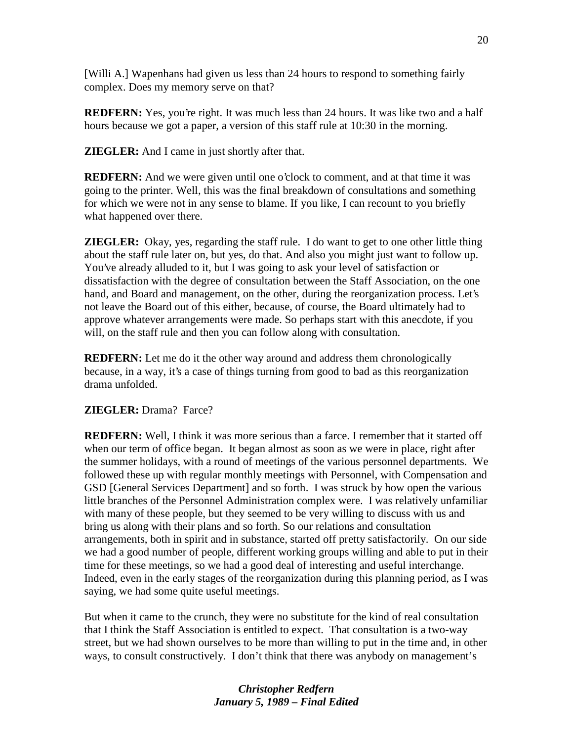[Willi A.] Wapenhans had given us less than 24 hours to respond to something fairly complex. Does my memory serve on that?

**REDFERN:** Yes, you're right. It was much less than 24 hours. It was like two and a half hours because we got a paper, a version of this staff rule at 10:30 in the morning.

**ZIEGLER:** And I came in just shortly after that.

**REDFERN:** And we were given until one o'clock to comment, and at that time it was going to the printer. Well, this was the final breakdown of consultations and something for which we were not in any sense to blame. If you like, I can recount to you briefly what happened over there.

**ZIEGLER:** Okay, yes, regarding the staff rule. I do want to get to one other little thing about the staff rule later on, but yes, do that. And also you might just want to follow up. You've already alluded to it, but I was going to ask your level of satisfaction or dissatisfaction with the degree of consultation between the Staff Association, on the one hand, and Board and management, on the other, during the reorganization process. Let's not leave the Board out of this either, because, of course, the Board ultimately had to approve whatever arrangements were made. So perhaps start with this anecdote, if you will, on the staff rule and then you can follow along with consultation.

**REDFERN:** Let me do it the other way around and address them chronologically because, in a way, it's a case of things turning from good to bad as this reorganization drama unfolded.

## **ZIEGLER:** Drama? Farce?

**REDFERN:** Well, I think it was more serious than a farce. I remember that it started off when our term of office began. It began almost as soon as we were in place, right after the summer holidays, with a round of meetings of the various personnel departments. We followed these up with regular monthly meetings with Personnel, with Compensation and GSD [General Services Department] and so forth. I was struck by how open the various little branches of the Personnel Administration complex were. I was relatively unfamiliar with many of these people, but they seemed to be very willing to discuss with us and bring us along with their plans and so forth. So our relations and consultation arrangements, both in spirit and in substance, started off pretty satisfactorily. On our side we had a good number of people, different working groups willing and able to put in their time for these meetings, so we had a good deal of interesting and useful interchange. Indeed, even in the early stages of the reorganization during this planning period, as I was saying, we had some quite useful meetings.

But when it came to the crunch, they were no substitute for the kind of real consultation that I think the Staff Association is entitled to expect. That consultation is a two-way street, but we had shown ourselves to be more than willing to put in the time and, in other ways, to consult constructively. I don't think that there was anybody on management's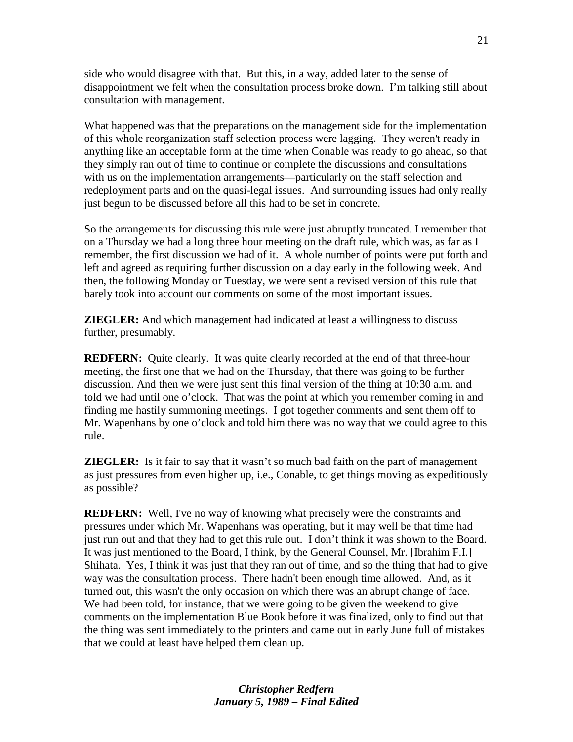side who would disagree with that. But this, in a way, added later to the sense of disappointment we felt when the consultation process broke down. I'm talking still about consultation with management.

What happened was that the preparations on the management side for the implementation of this whole reorganization staff selection process were lagging. They weren't ready in anything like an acceptable form at the time when Conable was ready to go ahead, so that they simply ran out of time to continue or complete the discussions and consultations with us on the implementation arrangements—particularly on the staff selection and redeployment parts and on the quasi-legal issues. And surrounding issues had only really just begun to be discussed before all this had to be set in concrete.

So the arrangements for discussing this rule were just abruptly truncated. I remember that on a Thursday we had a long three hour meeting on the draft rule, which was, as far as I remember, the first discussion we had of it. A whole number of points were put forth and left and agreed as requiring further discussion on a day early in the following week. And then, the following Monday or Tuesday, we were sent a revised version of this rule that barely took into account our comments on some of the most important issues.

**ZIEGLER:** And which management had indicated at least a willingness to discuss further, presumably.

**REDFERN:** Quite clearly. It was quite clearly recorded at the end of that three-hour meeting, the first one that we had on the Thursday, that there was going to be further discussion. And then we were just sent this final version of the thing at 10:30 a.m. and told we had until one o'clock. That was the point at which you remember coming in and finding me hastily summoning meetings. I got together comments and sent them off to Mr. Wapenhans by one o'clock and told him there was no way that we could agree to this rule.

**ZIEGLER:** Is it fair to say that it wasn't so much bad faith on the part of management as just pressures from even higher up, i.e., Conable, to get things moving as expeditiously as possible?

**REDFERN:** Well, I've no way of knowing what precisely were the constraints and pressures under which Mr. Wapenhans was operating, but it may well be that time had just run out and that they had to get this rule out. I don't think it was shown to the Board. It was just mentioned to the Board, I think, by the General Counsel, Mr. [Ibrahim F.I.] Shihata. Yes, I think it was just that they ran out of time, and so the thing that had to give way was the consultation process. There hadn't been enough time allowed. And, as it turned out, this wasn't the only occasion on which there was an abrupt change of face. We had been told, for instance, that we were going to be given the weekend to give comments on the implementation Blue Book before it was finalized, only to find out that the thing was sent immediately to the printers and came out in early June full of mistakes that we could at least have helped them clean up.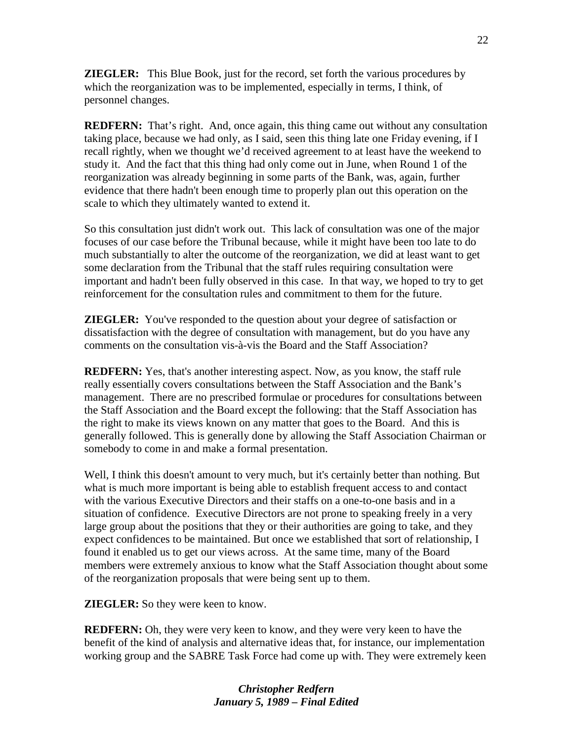**ZIEGLER:** This Blue Book, just for the record, set forth the various procedures by which the reorganization was to be implemented, especially in terms, I think, of personnel changes.

**REDFERN:** That's right. And, once again, this thing came out without any consultation taking place, because we had only, as I said, seen this thing late one Friday evening, if I recall rightly, when we thought we'd received agreement to at least have the weekend to study it. And the fact that this thing had only come out in June, when Round 1 of the reorganization was already beginning in some parts of the Bank, was, again, further evidence that there hadn't been enough time to properly plan out this operation on the scale to which they ultimately wanted to extend it.

So this consultation just didn't work out. This lack of consultation was one of the major focuses of our case before the Tribunal because, while it might have been too late to do much substantially to alter the outcome of the reorganization, we did at least want to get some declaration from the Tribunal that the staff rules requiring consultation were important and hadn't been fully observed in this case. In that way, we hoped to try to get reinforcement for the consultation rules and commitment to them for the future.

**ZIEGLER:** You've responded to the question about your degree of satisfaction or dissatisfaction with the degree of consultation with management, but do you have any comments on the consultation vis-à-vis the Board and the Staff Association?

**REDFERN:** Yes, that's another interesting aspect. Now, as you know, the staff rule really essentially covers consultations between the Staff Association and the Bank's management. There are no prescribed formulae or procedures for consultations between the Staff Association and the Board except the following: that the Staff Association has the right to make its views known on any matter that goes to the Board. And this is generally followed. This is generally done by allowing the Staff Association Chairman or somebody to come in and make a formal presentation.

Well, I think this doesn't amount to very much, but it's certainly better than nothing. But what is much more important is being able to establish frequent access to and contact with the various Executive Directors and their staffs on a one-to-one basis and in a situation of confidence. Executive Directors are not prone to speaking freely in a very large group about the positions that they or their authorities are going to take, and they expect confidences to be maintained. But once we established that sort of relationship, I found it enabled us to get our views across. At the same time, many of the Board members were extremely anxious to know what the Staff Association thought about some of the reorganization proposals that were being sent up to them.

**ZIEGLER:** So they were keen to know.

**REDFERN:** Oh, they were very keen to know, and they were very keen to have the benefit of the kind of analysis and alternative ideas that, for instance, our implementation working group and the SABRE Task Force had come up with. They were extremely keen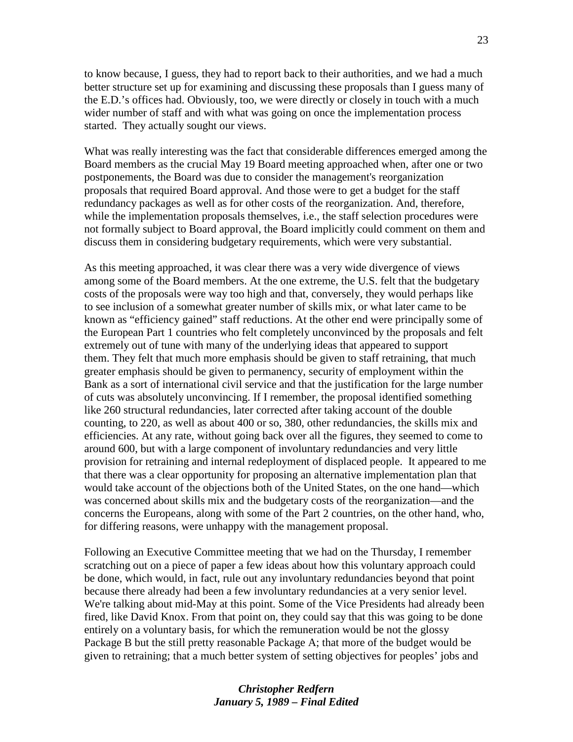to know because, I guess, they had to report back to their authorities, and we had a much better structure set up for examining and discussing these proposals than I guess many of the E.D.'s offices had. Obviously, too, we were directly or closely in touch with a much wider number of staff and with what was going on once the implementation process started. They actually sought our views.

What was really interesting was the fact that considerable differences emerged among the Board members as the crucial May 19 Board meeting approached when, after one or two postponements, the Board was due to consider the management's reorganization proposals that required Board approval. And those were to get a budget for the staff redundancy packages as well as for other costs of the reorganization. And, therefore, while the implementation proposals themselves, i.e., the staff selection procedures were not formally subject to Board approval, the Board implicitly could comment on them and discuss them in considering budgetary requirements, which were very substantial.

As this meeting approached, it was clear there was a very wide divergence of views among some of the Board members. At the one extreme, the U.S. felt that the budgetary costs of the proposals were way too high and that, conversely, they would perhaps like to see inclusion of a somewhat greater number of skills mix, or what later came to be known as "efficiency gained" staff reductions. At the other end were principally some of the European Part 1 countries who felt completely unconvinced by the proposals and felt extremely out of tune with many of the underlying ideas that appeared to support them. They felt that much more emphasis should be given to staff retraining, that much greater emphasis should be given to permanency, security of employment within the Bank as a sort of international civil service and that the justification for the large number of cuts was absolutely unconvincing. If I remember, the proposal identified something like 260 structural redundancies, later corrected after taking account of the double counting, to 220, as well as about 400 or so, 380, other redundancies, the skills mix and efficiencies. At any rate, without going back over all the figures, they seemed to come to around 600, but with a large component of involuntary redundancies and very little provision for retraining and internal redeployment of displaced people. It appeared to me that there was a clear opportunity for proposing an alternative implementation plan that would take account of the objections both of the United States, on the one hand—which was concerned about skills mix and the budgetary costs of the reorganization—and the concerns the Europeans, along with some of the Part 2 countries, on the other hand, who, for differing reasons, were unhappy with the management proposal.

Following an Executive Committee meeting that we had on the Thursday, I remember scratching out on a piece of paper a few ideas about how this voluntary approach could be done, which would, in fact, rule out any involuntary redundancies beyond that point because there already had been a few involuntary redundancies at a very senior level. We're talking about mid-May at this point. Some of the Vice Presidents had already been fired, like David Knox. From that point on, they could say that this was going to be done entirely on a voluntary basis, for which the remuneration would be not the glossy Package B but the still pretty reasonable Package A; that more of the budget would be given to retraining; that a much better system of setting objectives for peoples' jobs and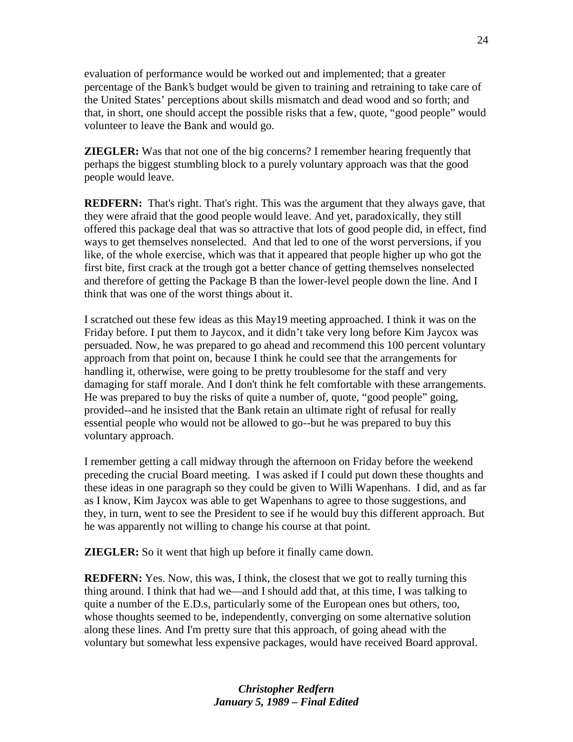evaluation of performance would be worked out and implemented; that a greater percentage of the Bank's budget would be given to training and retraining to take care of the United States' perceptions about skills mismatch and dead wood and so forth; and that, in short, one should accept the possible risks that a few, quote, "good people" would volunteer to leave the Bank and would go.

**ZIEGLER:** Was that not one of the big concerns? I remember hearing frequently that perhaps the biggest stumbling block to a purely voluntary approach was that the good people would leave.

**REDFERN:** That's right. That's right. This was the argument that they always gave, that they were afraid that the good people would leave. And yet, paradoxically, they still offered this package deal that was so attractive that lots of good people did, in effect, find ways to get themselves nonselected. And that led to one of the worst perversions, if you like, of the whole exercise, which was that it appeared that people higher up who got the first bite, first crack at the trough got a better chance of getting themselves nonselected and therefore of getting the Package B than the lower-level people down the line. And I think that was one of the worst things about it.

I scratched out these few ideas as this May19 meeting approached. I think it was on the Friday before. I put them to Jaycox, and it didn't take very long before Kim Jaycox was persuaded. Now, he was prepared to go ahead and recommend this 100 percent voluntary approach from that point on, because I think he could see that the arrangements for handling it, otherwise, were going to be pretty troublesome for the staff and very damaging for staff morale. And I don't think he felt comfortable with these arrangements. He was prepared to buy the risks of quite a number of, quote, "good people" going, provided--and he insisted that the Bank retain an ultimate right of refusal for really essential people who would not be allowed to go--but he was prepared to buy this voluntary approach.

I remember getting a call midway through the afternoon on Friday before the weekend preceding the crucial Board meeting. I was asked if I could put down these thoughts and these ideas in one paragraph so they could be given to Willi Wapenhans. I did, and as far as I know, Kim Jaycox was able to get Wapenhans to agree to those suggestions, and they, in turn, went to see the President to see if he would buy this different approach. But he was apparently not willing to change his course at that point.

**ZIEGLER:** So it went that high up before it finally came down.

**REDFERN:** Yes. Now, this was, I think, the closest that we got to really turning this thing around. I think that had we—and I should add that, at this time, I was talking to quite a number of the E.D.s, particularly some of the European ones but others, too, whose thoughts seemed to be, independently, converging on some alternative solution along these lines. And I'm pretty sure that this approach, of going ahead with the voluntary but somewhat less expensive packages, would have received Board approval.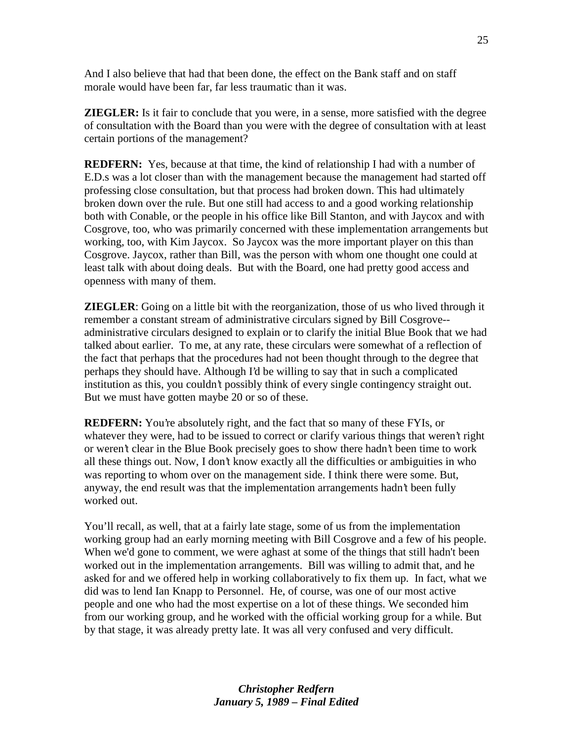And I also believe that had that been done, the effect on the Bank staff and on staff morale would have been far, far less traumatic than it was.

**ZIEGLER:** Is it fair to conclude that you were, in a sense, more satisfied with the degree of consultation with the Board than you were with the degree of consultation with at least certain portions of the management?

**REDFERN:** Yes, because at that time, the kind of relationship I had with a number of E.D.s was a lot closer than with the management because the management had started off professing close consultation, but that process had broken down. This had ultimately broken down over the rule. But one still had access to and a good working relationship both with Conable, or the people in his office like Bill Stanton, and with Jaycox and with Cosgrove, too, who was primarily concerned with these implementation arrangements but working, too, with Kim Jaycox. So Jaycox was the more important player on this than Cosgrove. Jaycox, rather than Bill, was the person with whom one thought one could at least talk with about doing deals. But with the Board, one had pretty good access and openness with many of them.

**ZIEGLER**: Going on a little bit with the reorganization, those of us who lived through it remember a constant stream of administrative circulars signed by Bill Cosgrove- administrative circulars designed to explain or to clarify the initial Blue Book that we had talked about earlier. To me, at any rate, these circulars were somewhat of a reflection of the fact that perhaps that the procedures had not been thought through to the degree that perhaps they should have. Although I'd be willing to say that in such a complicated institution as this, you couldn't possibly think of every single contingency straight out. But we must have gotten maybe 20 or so of these.

**REDFERN:** You're absolutely right, and the fact that so many of these FYIs, or whatever they were, had to be issued to correct or clarify various things that weren't right or weren't clear in the Blue Book precisely goes to show there hadn't been time to work all these things out. Now, I don't know exactly all the difficulties or ambiguities in who was reporting to whom over on the management side. I think there were some. But, anyway, the end result was that the implementation arrangements hadn't been fully worked out.

You'll recall, as well, that at a fairly late stage, some of us from the implementation working group had an early morning meeting with Bill Cosgrove and a few of his people. When we'd gone to comment, we were aghast at some of the things that still hadn't been worked out in the implementation arrangements. Bill was willing to admit that, and he asked for and we offered help in working collaboratively to fix them up. In fact, what we did was to lend Ian Knapp to Personnel. He, of course, was one of our most active people and one who had the most expertise on a lot of these things. We seconded him from our working group, and he worked with the official working group for a while. But by that stage, it was already pretty late. It was all very confused and very difficult.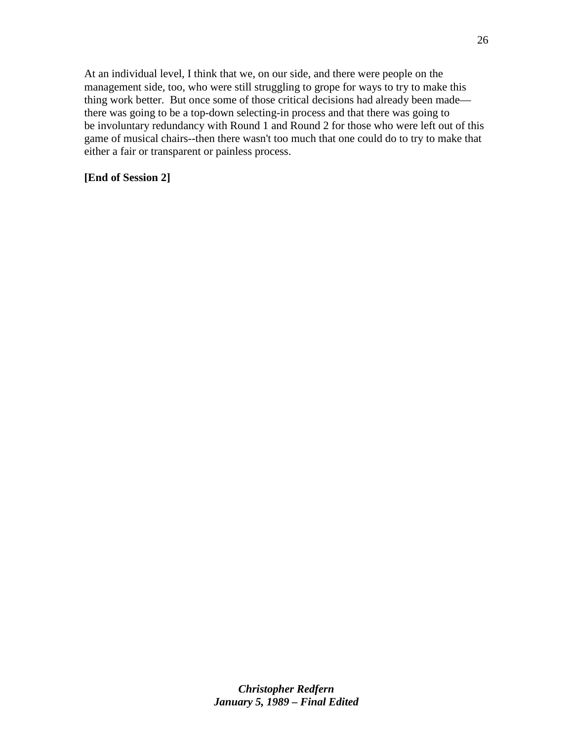At an individual level, I think that we, on our side, and there were people on the management side, too, who were still struggling to grope for ways to try to make this thing work better. But once some of those critical decisions had already been made there was going to be a top-down selecting-in process and that there was going to be involuntary redundancy with Round 1 and Round 2 for those who were left out of this game of musical chairs--then there wasn't too much that one could do to try to make that either a fair or transparent or painless process.

### **[End of Session 2]**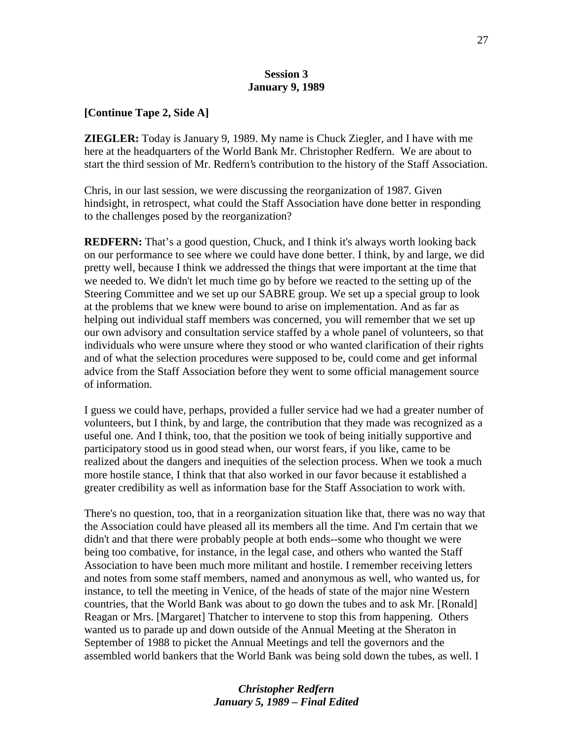#### **Session 3 January 9, 1989**

#### **[Continue Tape 2, Side A]**

**ZIEGLER:** Today is January 9, 1989. My name is Chuck Ziegler, and I have with me here at the headquarters of the World Bank Mr. Christopher Redfern. We are about to start the third session of Mr. Redfern's contribution to the history of the Staff Association.

Chris, in our last session, we were discussing the reorganization of 1987. Given hindsight, in retrospect, what could the Staff Association have done better in responding to the challenges posed by the reorganization?

**REDFERN:** That's a good question, Chuck, and I think it's always worth looking back on our performance to see where we could have done better. I think, by and large, we did pretty well, because I think we addressed the things that were important at the time that we needed to. We didn't let much time go by before we reacted to the setting up of the Steering Committee and we set up our SABRE group. We set up a special group to look at the problems that we knew were bound to arise on implementation. And as far as helping out individual staff members was concerned, you will remember that we set up our own advisory and consultation service staffed by a whole panel of volunteers, so that individuals who were unsure where they stood or who wanted clarification of their rights and of what the selection procedures were supposed to be, could come and get informal advice from the Staff Association before they went to some official management source of information.

I guess we could have, perhaps, provided a fuller service had we had a greater number of volunteers, but I think, by and large, the contribution that they made was recognized as a useful one. And I think, too, that the position we took of being initially supportive and participatory stood us in good stead when, our worst fears, if you like, came to be realized about the dangers and inequities of the selection process. When we took a much more hostile stance, I think that that also worked in our favor because it established a greater credibility as well as information base for the Staff Association to work with.

There's no question, too, that in a reorganization situation like that, there was no way that the Association could have pleased all its members all the time. And I'm certain that we didn't and that there were probably people at both ends--some who thought we were being too combative, for instance, in the legal case, and others who wanted the Staff Association to have been much more militant and hostile. I remember receiving letters and notes from some staff members, named and anonymous as well, who wanted us, for instance, to tell the meeting in Venice, of the heads of state of the major nine Western countries, that the World Bank was about to go down the tubes and to ask Mr. [Ronald] Reagan or Mrs. [Margaret] Thatcher to intervene to stop this from happening. Others wanted us to parade up and down outside of the Annual Meeting at the Sheraton in September of 1988 to picket the Annual Meetings and tell the governors and the assembled world bankers that the World Bank was being sold down the tubes, as well. I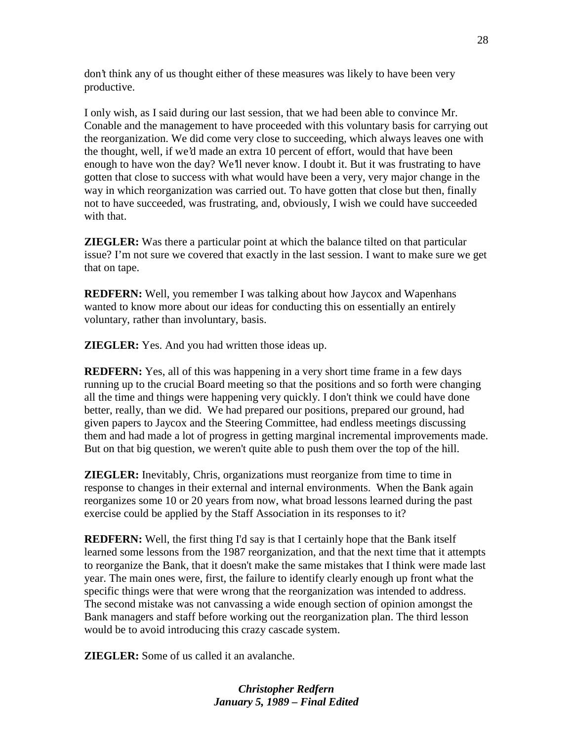don't think any of us thought either of these measures was likely to have been very productive.

I only wish, as I said during our last session, that we had been able to convince Mr. Conable and the management to have proceeded with this voluntary basis for carrying out the reorganization. We did come very close to succeeding, which always leaves one with the thought, well, if we'd made an extra 10 percent of effort, would that have been enough to have won the day? We'll never know. I doubt it. But it was frustrating to have gotten that close to success with what would have been a very, very major change in the way in which reorganization was carried out. To have gotten that close but then, finally not to have succeeded, was frustrating, and, obviously, I wish we could have succeeded with that.

**ZIEGLER:** Was there a particular point at which the balance tilted on that particular issue? I'm not sure we covered that exactly in the last session. I want to make sure we get that on tape.

**REDFERN:** Well, you remember I was talking about how Jaycox and Wapenhans wanted to know more about our ideas for conducting this on essentially an entirely voluntary, rather than involuntary, basis.

**ZIEGLER:** Yes. And you had written those ideas up.

**REDFERN:** Yes, all of this was happening in a very short time frame in a few days running up to the crucial Board meeting so that the positions and so forth were changing all the time and things were happening very quickly. I don't think we could have done better, really, than we did. We had prepared our positions, prepared our ground, had given papers to Jaycox and the Steering Committee, had endless meetings discussing them and had made a lot of progress in getting marginal incremental improvements made. But on that big question, we weren't quite able to push them over the top of the hill.

**ZIEGLER:** Inevitably, Chris, organizations must reorganize from time to time in response to changes in their external and internal environments. When the Bank again reorganizes some 10 or 20 years from now, what broad lessons learned during the past exercise could be applied by the Staff Association in its responses to it?

**REDFERN:** Well, the first thing I'd say is that I certainly hope that the Bank itself learned some lessons from the 1987 reorganization, and that the next time that it attempts to reorganize the Bank, that it doesn't make the same mistakes that I think were made last year. The main ones were, first, the failure to identify clearly enough up front what the specific things were that were wrong that the reorganization was intended to address. The second mistake was not canvassing a wide enough section of opinion amongst the Bank managers and staff before working out the reorganization plan. The third lesson would be to avoid introducing this crazy cascade system.

**ZIEGLER:** Some of us called it an avalanche.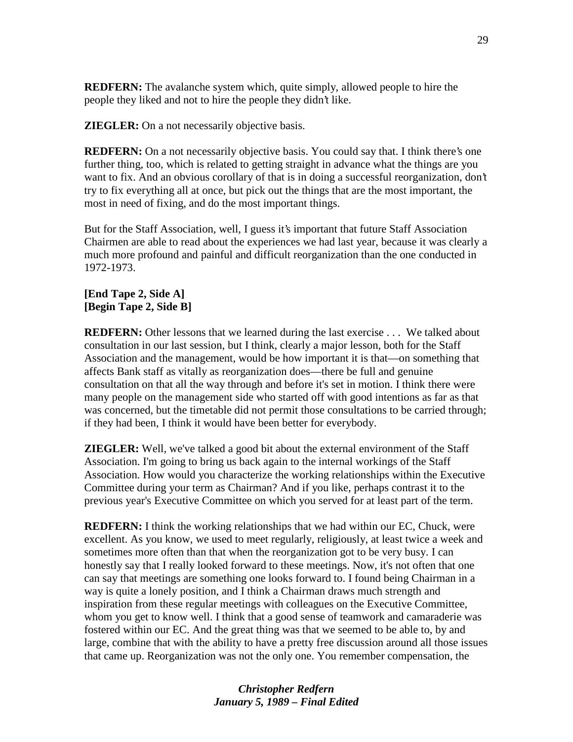**REDFERN:** The avalanche system which, quite simply, allowed people to hire the people they liked and not to hire the people they didn't like.

**ZIEGLER:** On a not necessarily objective basis.

**REDFERN:** On a not necessarily objective basis. You could say that. I think there's one further thing, too, which is related to getting straight in advance what the things are you want to fix. And an obvious corollary of that is in doing a successful reorganization, don't try to fix everything all at once, but pick out the things that are the most important, the most in need of fixing, and do the most important things.

But for the Staff Association, well, I guess it's important that future Staff Association Chairmen are able to read about the experiences we had last year, because it was clearly a much more profound and painful and difficult reorganization than the one conducted in 1972-1973.

### **[End Tape 2, Side A] [Begin Tape 2, Side B]**

**REDFERN:** Other lessons that we learned during the last exercise . . . We talked about consultation in our last session, but I think, clearly a major lesson, both for the Staff Association and the management, would be how important it is that—on something that affects Bank staff as vitally as reorganization does—there be full and genuine consultation on that all the way through and before it's set in motion. I think there were many people on the management side who started off with good intentions as far as that was concerned, but the timetable did not permit those consultations to be carried through; if they had been, I think it would have been better for everybody.

**ZIEGLER:** Well, we've talked a good bit about the external environment of the Staff Association. I'm going to bring us back again to the internal workings of the Staff Association. How would you characterize the working relationships within the Executive Committee during your term as Chairman? And if you like, perhaps contrast it to the previous year's Executive Committee on which you served for at least part of the term.

**REDFERN:** I think the working relationships that we had within our EC, Chuck, were excellent. As you know, we used to meet regularly, religiously, at least twice a week and sometimes more often than that when the reorganization got to be very busy. I can honestly say that I really looked forward to these meetings. Now, it's not often that one can say that meetings are something one looks forward to. I found being Chairman in a way is quite a lonely position, and I think a Chairman draws much strength and inspiration from these regular meetings with colleagues on the Executive Committee, whom you get to know well. I think that a good sense of teamwork and camaraderie was fostered within our EC. And the great thing was that we seemed to be able to, by and large, combine that with the ability to have a pretty free discussion around all those issues that came up. Reorganization was not the only one. You remember compensation, the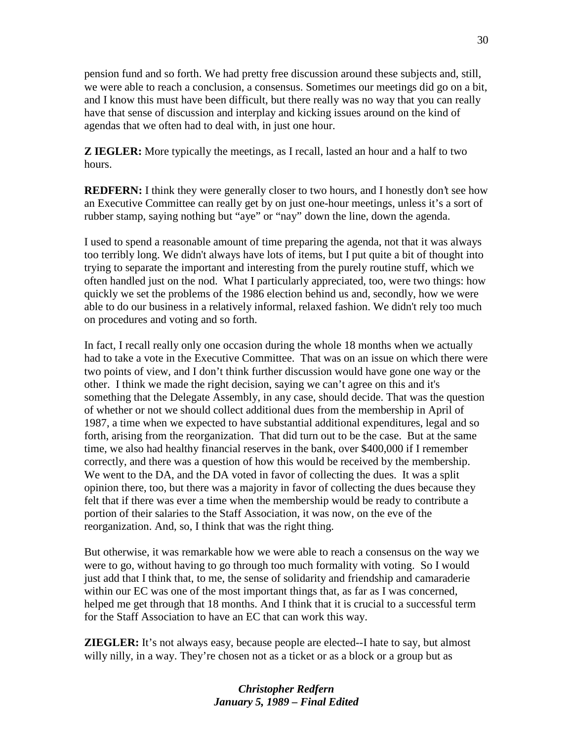pension fund and so forth. We had pretty free discussion around these subjects and, still, we were able to reach a conclusion, a consensus. Sometimes our meetings did go on a bit, and I know this must have been difficult, but there really was no way that you can really have that sense of discussion and interplay and kicking issues around on the kind of agendas that we often had to deal with, in just one hour.

**Z IEGLER:** More typically the meetings, as I recall, lasted an hour and a half to two hours.

**REDFERN:** I think they were generally closer to two hours, and I honestly don't see how an Executive Committee can really get by on just one-hour meetings, unless it's a sort of rubber stamp, saying nothing but "aye" or "nay" down the line, down the agenda.

I used to spend a reasonable amount of time preparing the agenda, not that it was always too terribly long. We didn't always have lots of items, but I put quite a bit of thought into trying to separate the important and interesting from the purely routine stuff, which we often handled just on the nod. What I particularly appreciated, too, were two things: how quickly we set the problems of the 1986 election behind us and, secondly, how we were able to do our business in a relatively informal, relaxed fashion. We didn't rely too much on procedures and voting and so forth.

In fact, I recall really only one occasion during the whole 18 months when we actually had to take a vote in the Executive Committee. That was on an issue on which there were two points of view, and I don't think further discussion would have gone one way or the other. I think we made the right decision, saying we can't agree on this and it's something that the Delegate Assembly, in any case, should decide. That was the question of whether or not we should collect additional dues from the membership in April of 1987, a time when we expected to have substantial additional expenditures, legal and so forth, arising from the reorganization. That did turn out to be the case. But at the same time, we also had healthy financial reserves in the bank, over \$400,000 if I remember correctly, and there was a question of how this would be received by the membership. We went to the DA, and the DA voted in favor of collecting the dues. It was a split opinion there, too, but there was a majority in favor of collecting the dues because they felt that if there was ever a time when the membership would be ready to contribute a portion of their salaries to the Staff Association, it was now, on the eve of the reorganization. And, so, I think that was the right thing.

But otherwise, it was remarkable how we were able to reach a consensus on the way we were to go, without having to go through too much formality with voting. So I would just add that I think that, to me, the sense of solidarity and friendship and camaraderie within our EC was one of the most important things that, as far as I was concerned, helped me get through that 18 months. And I think that it is crucial to a successful term for the Staff Association to have an EC that can work this way.

**ZIEGLER:** It's not always easy, because people are elected--I hate to say, but almost willy nilly, in a way. They're chosen not as a ticket or as a block or a group but as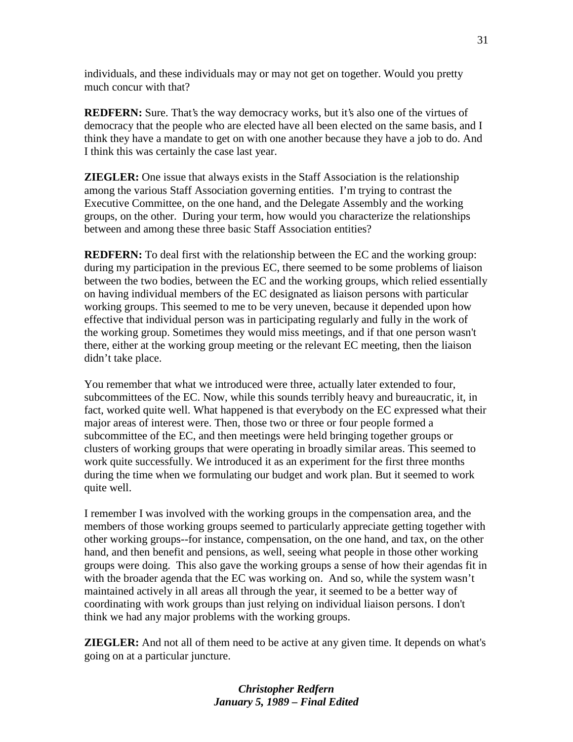individuals, and these individuals may or may not get on together. Would you pretty much concur with that?

**REDFERN:** Sure. That's the way democracy works, but it's also one of the virtues of democracy that the people who are elected have all been elected on the same basis, and I think they have a mandate to get on with one another because they have a job to do. And I think this was certainly the case last year.

**ZIEGLER:** One issue that always exists in the Staff Association is the relationship among the various Staff Association governing entities. I'm trying to contrast the Executive Committee, on the one hand, and the Delegate Assembly and the working groups, on the other. During your term, how would you characterize the relationships between and among these three basic Staff Association entities?

**REDFERN:** To deal first with the relationship between the EC and the working group: during my participation in the previous EC, there seemed to be some problems of liaison between the two bodies, between the EC and the working groups, which relied essentially on having individual members of the EC designated as liaison persons with particular working groups. This seemed to me to be very uneven, because it depended upon how effective that individual person was in participating regularly and fully in the work of the working group. Sometimes they would miss meetings, and if that one person wasn't there, either at the working group meeting or the relevant EC meeting, then the liaison didn't take place.

You remember that what we introduced were three, actually later extended to four, subcommittees of the EC. Now, while this sounds terribly heavy and bureaucratic, it, in fact, worked quite well. What happened is that everybody on the EC expressed what their major areas of interest were. Then, those two or three or four people formed a subcommittee of the EC, and then meetings were held bringing together groups or clusters of working groups that were operating in broadly similar areas. This seemed to work quite successfully. We introduced it as an experiment for the first three months during the time when we formulating our budget and work plan. But it seemed to work quite well.

I remember I was involved with the working groups in the compensation area, and the members of those working groups seemed to particularly appreciate getting together with other working groups--for instance, compensation, on the one hand, and tax, on the other hand, and then benefit and pensions, as well, seeing what people in those other working groups were doing. This also gave the working groups a sense of how their agendas fit in with the broader agenda that the EC was working on. And so, while the system wasn't maintained actively in all areas all through the year, it seemed to be a better way of coordinating with work groups than just relying on individual liaison persons. I don't think we had any major problems with the working groups.

**ZIEGLER:** And not all of them need to be active at any given time. It depends on what's going on at a particular juncture.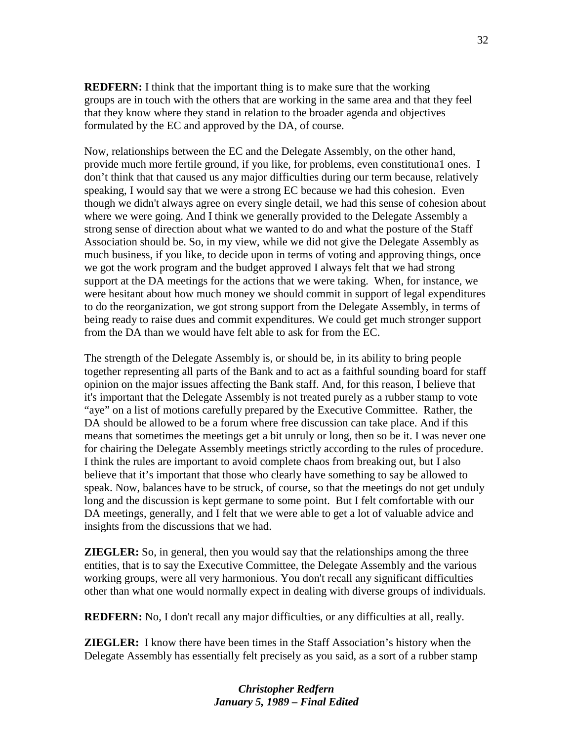**REDFERN:** I think that the important thing is to make sure that the working groups are in touch with the others that are working in the same area and that they feel that they know where they stand in relation to the broader agenda and objectives formulated by the EC and approved by the DA, of course.

Now, relationships between the EC and the Delegate Assembly, on the other hand, provide much more fertile ground, if you like, for problems, even constitutiona1 ones. I don't think that that caused us any major difficulties during our term because, relatively speaking, I would say that we were a strong EC because we had this cohesion. Even though we didn't always agree on every single detail, we had this sense of cohesion about where we were going. And I think we generally provided to the Delegate Assembly a strong sense of direction about what we wanted to do and what the posture of the Staff Association should be. So, in my view, while we did not give the Delegate Assembly as much business, if you like, to decide upon in terms of voting and approving things, once we got the work program and the budget approved I always felt that we had strong support at the DA meetings for the actions that we were taking. When, for instance, we were hesitant about how much money we should commit in support of legal expenditures to do the reorganization, we got strong support from the Delegate Assembly, in terms of being ready to raise dues and commit expenditures. We could get much stronger support from the DA than we would have felt able to ask for from the EC.

The strength of the Delegate Assembly is, or should be, in its ability to bring people together representing all parts of the Bank and to act as a faithful sounding board for staff opinion on the major issues affecting the Bank staff. And, for this reason, I believe that it's important that the Delegate Assembly is not treated purely as a rubber stamp to vote "aye" on a list of motions carefully prepared by the Executive Committee. Rather, the DA should be allowed to be a forum where free discussion can take place. And if this means that sometimes the meetings get a bit unruly or long, then so be it. I was never one for chairing the Delegate Assembly meetings strictly according to the rules of procedure. I think the rules are important to avoid complete chaos from breaking out, but I also believe that it's important that those who clearly have something to say be allowed to speak. Now, balances have to be struck, of course, so that the meetings do not get unduly long and the discussion is kept germane to some point. But I felt comfortable with our DA meetings, generally, and I felt that we were able to get a lot of valuable advice and insights from the discussions that we had.

**ZIEGLER:** So, in general, then you would say that the relationships among the three entities, that is to say the Executive Committee, the Delegate Assembly and the various working groups, were all very harmonious. You don't recall any significant difficulties other than what one would normally expect in dealing with diverse groups of individuals.

**REDFERN:** No, I don't recall any major difficulties, or any difficulties at all, really.

**ZIEGLER:** I know there have been times in the Staff Association's history when the Delegate Assembly has essentially felt precisely as you said, as a sort of a rubber stamp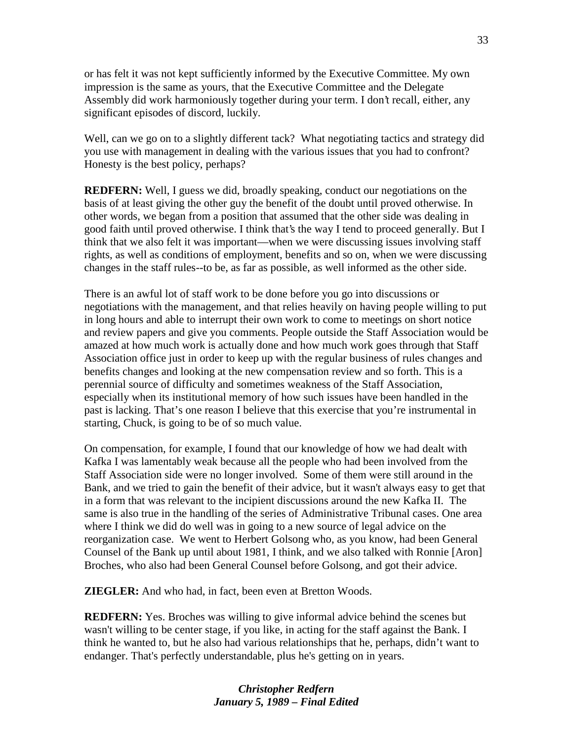or has felt it was not kept sufficiently informed by the Executive Committee. My own impression is the same as yours, that the Executive Committee and the Delegate Assembly did work harmoniously together during your term. I don't recall, either, any significant episodes of discord, luckily.

Well, can we go on to a slightly different tack? What negotiating tactics and strategy did you use with management in dealing with the various issues that you had to confront? Honesty is the best policy, perhaps?

**REDFERN:** Well, I guess we did, broadly speaking, conduct our negotiations on the basis of at least giving the other guy the benefit of the doubt until proved otherwise. In other words, we began from a position that assumed that the other side was dealing in good faith until proved otherwise. I think that's the way I tend to proceed generally. But I think that we also felt it was important—when we were discussing issues involving staff rights, as well as conditions of employment, benefits and so on, when we were discussing changes in the staff rules--to be, as far as possible, as well informed as the other side.

There is an awful lot of staff work to be done before you go into discussions or negotiations with the management, and that relies heavily on having people willing to put in long hours and able to interrupt their own work to come to meetings on short notice and review papers and give you comments. People outside the Staff Association would be amazed at how much work is actually done and how much work goes through that Staff Association office just in order to keep up with the regular business of rules changes and benefits changes and looking at the new compensation review and so forth. This is a perennial source of difficulty and sometimes weakness of the Staff Association, especially when its institutional memory of how such issues have been handled in the past is lacking. That's one reason I believe that this exercise that you're instrumental in starting, Chuck, is going to be of so much value.

On compensation, for example, I found that our knowledge of how we had dealt with Kafka I was lamentably weak because all the people who had been involved from the Staff Association side were no longer involved. Some of them were still around in the Bank, and we tried to gain the benefit of their advice, but it wasn't always easy to get that in a form that was relevant to the incipient discussions around the new Kafka II. The same is also true in the handling of the series of Administrative Tribunal cases. One area where I think we did do well was in going to a new source of legal advice on the reorganization case. We went to Herbert Golsong who, as you know, had been General Counsel of the Bank up until about 1981, I think, and we also talked with Ronnie [Aron] Broches, who also had been General Counsel before Golsong, and got their advice.

**ZIEGLER:** And who had, in fact, been even at Bretton Woods.

**REDFERN:** Yes. Broches was willing to give informal advice behind the scenes but wasn't willing to be center stage, if you like, in acting for the staff against the Bank. I think he wanted to, but he also had various relationships that he, perhaps, didn't want to endanger. That's perfectly understandable, plus he's getting on in years.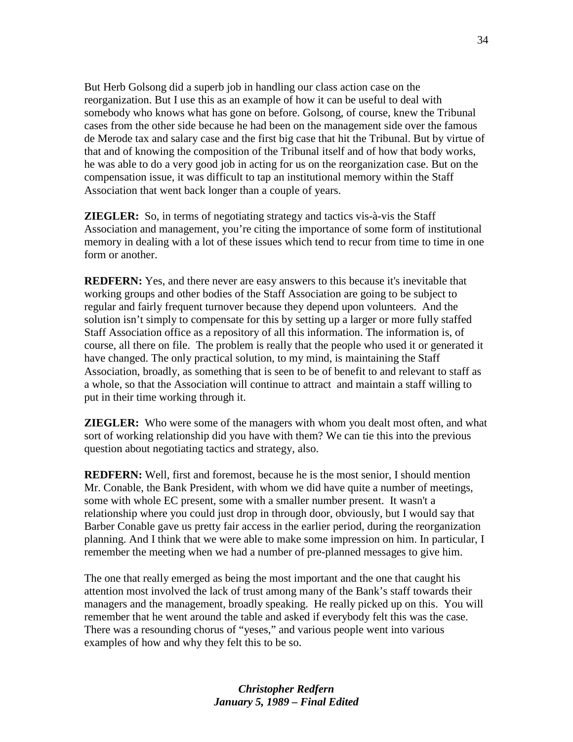But Herb Golsong did a superb job in handling our class action case on the reorganization. But I use this as an example of how it can be useful to deal with somebody who knows what has gone on before. Golsong, of course, knew the Tribunal cases from the other side because he had been on the management side over the famous de Merode tax and salary case and the first big case that hit the Tribunal. But by virtue of that and of knowing the composition of the Tribunal itself and of how that body works, he was able to do a very good job in acting for us on the reorganization case. But on the compensation issue, it was difficult to tap an institutional memory within the Staff Association that went back longer than a couple of years.

**ZIEGLER:** So, in terms of negotiating strategy and tactics vis-à-vis the Staff Association and management, you're citing the importance of some form of institutional memory in dealing with a lot of these issues which tend to recur from time to time in one form or another.

**REDFERN:** Yes, and there never are easy answers to this because it's inevitable that working groups and other bodies of the Staff Association are going to be subject to regular and fairly frequent turnover because they depend upon volunteers. And the solution isn't simply to compensate for this by setting up a larger or more fully staffed Staff Association office as a repository of all this information. The information is, of course, all there on file. The problem is really that the people who used it or generated it have changed. The only practical solution, to my mind, is maintaining the Staff Association, broadly, as something that is seen to be of benefit to and relevant to staff as a whole, so that the Association will continue to attract and maintain a staff willing to put in their time working through it.

**ZIEGLER:** Who were some of the managers with whom you dealt most often, and what sort of working relationship did you have with them? We can tie this into the previous question about negotiating tactics and strategy, also.

**REDFERN:** Well, first and foremost, because he is the most senior, I should mention Mr. Conable, the Bank President, with whom we did have quite a number of meetings, some with whole EC present, some with a smaller number present. It wasn't a relationship where you could just drop in through door, obviously, but I would say that Barber Conable gave us pretty fair access in the earlier period, during the reorganization planning. And I think that we were able to make some impression on him. In particular, I remember the meeting when we had a number of pre-planned messages to give him.

The one that really emerged as being the most important and the one that caught his attention most involved the lack of trust among many of the Bank's staff towards their managers and the management, broadly speaking. He really picked up on this. You will remember that he went around the table and asked if everybody felt this was the case. There was a resounding chorus of "yeses," and various people went into various examples of how and why they felt this to be so.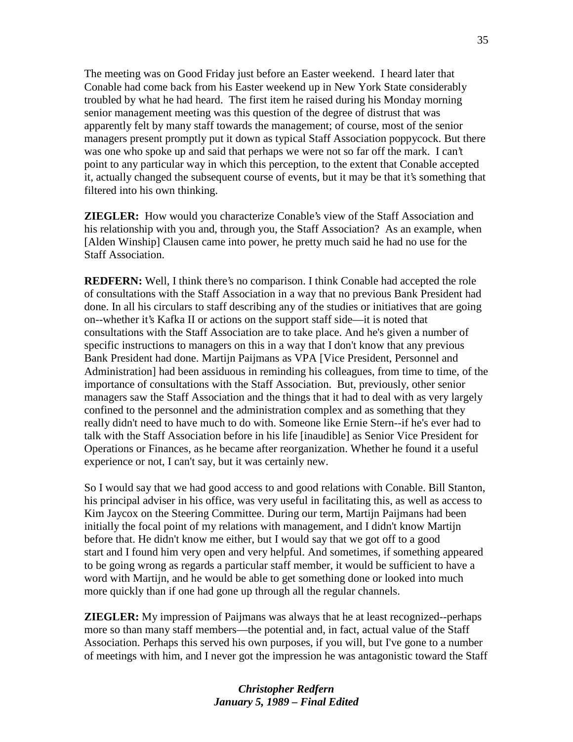The meeting was on Good Friday just before an Easter weekend. I heard later that Conable had come back from his Easter weekend up in New York State considerably troubled by what he had heard. The first item he raised during his Monday morning senior management meeting was this question of the degree of distrust that was apparently felt by many staff towards the management; of course, most of the senior managers present promptly put it down as typical Staff Association poppycock. But there was one who spoke up and said that perhaps we were not so far off the mark. I can't point to any particular way in which this perception, to the extent that Conable accepted it, actually changed the subsequent course of events, but it may be that it's something that filtered into his own thinking.

**ZIEGLER:** How would you characterize Conable's view of the Staff Association and his relationship with you and, through you, the Staff Association? As an example, when [Alden Winship] Clausen came into power, he pretty much said he had no use for the Staff Association.

**REDFERN:** Well, I think there's no comparison. I think Conable had accepted the role of consultations with the Staff Association in a way that no previous Bank President had done. In all his circulars to staff describing any of the studies or initiatives that are going on--whether it's Kafka II or actions on the support staff side—it is noted that consultations with the Staff Association are to take place. And he's given a number of specific instructions to managers on this in a way that I don't know that any previous Bank President had done. Martijn Paijmans as VPA [Vice President, Personnel and Administration] had been assiduous in reminding his colleagues, from time to time, of the importance of consultations with the Staff Association. But, previously, other senior managers saw the Staff Association and the things that it had to deal with as very largely confined to the personnel and the administration complex and as something that they really didn't need to have much to do with. Someone like Ernie Stern--if he's ever had to talk with the Staff Association before in his life [inaudible] as Senior Vice President for Operations or Finances, as he became after reorganization. Whether he found it a useful experience or not, I can't say, but it was certainly new.

So I would say that we had good access to and good relations with Conable. Bill Stanton, his principal adviser in his office, was very useful in facilitating this, as well as access to Kim Jaycox on the Steering Committee. During our term, Martijn Paijmans had been initially the focal point of my relations with management, and I didn't know Martijn before that. He didn't know me either, but I would say that we got off to a good start and I found him very open and very helpful. And sometimes, if something appeared to be going wrong as regards a particular staff member, it would be sufficient to have a word with Martijn, and he would be able to get something done or looked into much more quickly than if one had gone up through all the regular channels.

**ZIEGLER:** My impression of Paijmans was always that he at least recognized--perhaps more so than many staff members—the potential and, in fact, actual value of the Staff Association. Perhaps this served his own purposes, if you will, but I've gone to a number of meetings with him, and I never got the impression he was antagonistic toward the Staff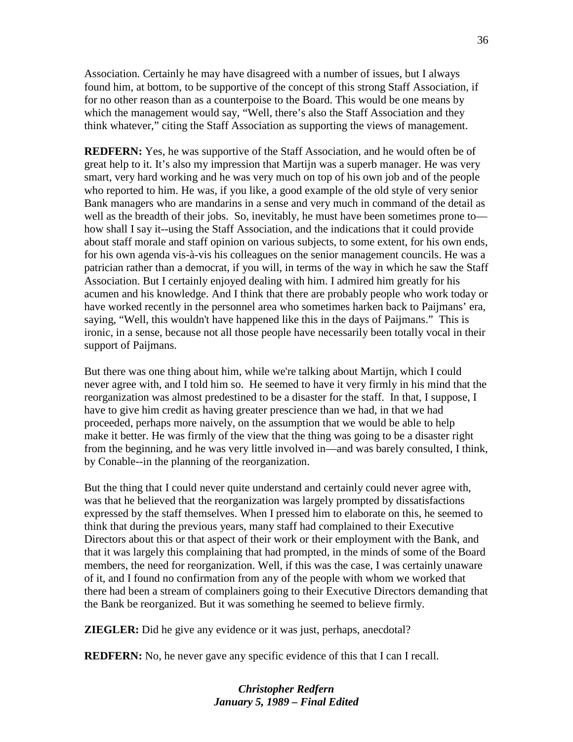Association. Certainly he may have disagreed with a number of issues, but I always found him, at bottom, to be supportive of the concept of this strong Staff Association, if for no other reason than as a counterpoise to the Board. This would be one means by which the management would say, "Well, there's also the Staff Association and they think whatever," citing the Staff Association as supporting the views of management.

**REDFERN:** Yes, he was supportive of the Staff Association, and he would often be of great help to it. It's also my impression that Martijn was a superb manager. He was very smart, very hard working and he was very much on top of his own job and of the people who reported to him. He was, if you like, a good example of the old style of very senior Bank managers who are mandarins in a sense and very much in command of the detail as well as the breadth of their jobs. So, inevitably, he must have been sometimes prone to how shall I say it--using the Staff Association, and the indications that it could provide about staff morale and staff opinion on various subjects, to some extent, for his own ends, for his own agenda vis-à-vis his colleagues on the senior management councils. He was a patrician rather than a democrat, if you will, in terms of the way in which he saw the Staff Association. But I certainly enjoyed dealing with him. I admired him greatly for his acumen and his knowledge. And I think that there are probably people who work today or have worked recently in the personnel area who sometimes harken back to Paijmans' era, saying, "Well, this wouldn't have happened like this in the days of Paijmans." This is ironic, in a sense, because not all those people have necessarily been totally vocal in their support of Paijmans.

But there was one thing about him, while we're talking about Martijn, which I could never agree with, and I told him so. He seemed to have it very firmly in his mind that the reorganization was almost predestined to be a disaster for the staff. In that, I suppose, I have to give him credit as having greater prescience than we had, in that we had proceeded, perhaps more naively, on the assumption that we would be able to help make it better. He was firmly of the view that the thing was going to be a disaster right from the beginning, and he was very little involved in—and was barely consulted, I think, by Conable--in the planning of the reorganization.

But the thing that I could never quite understand and certainly could never agree with, was that he believed that the reorganization was largely prompted by dissatisfactions expressed by the staff themselves. When I pressed him to elaborate on this, he seemed to think that during the previous years, many staff had complained to their Executive Directors about this or that aspect of their work or their employment with the Bank, and that it was largely this complaining that had prompted, in the minds of some of the Board members, the need for reorganization. Well, if this was the case, I was certainly unaware of it, and I found no confirmation from any of the people with whom we worked that there had been a stream of complainers going to their Executive Directors demanding that the Bank be reorganized. But it was something he seemed to believe firmly.

**ZIEGLER:** Did he give any evidence or it was just, perhaps, anecdotal?

**REDFERN:** No, he never gave any specific evidence of this that I can I recall.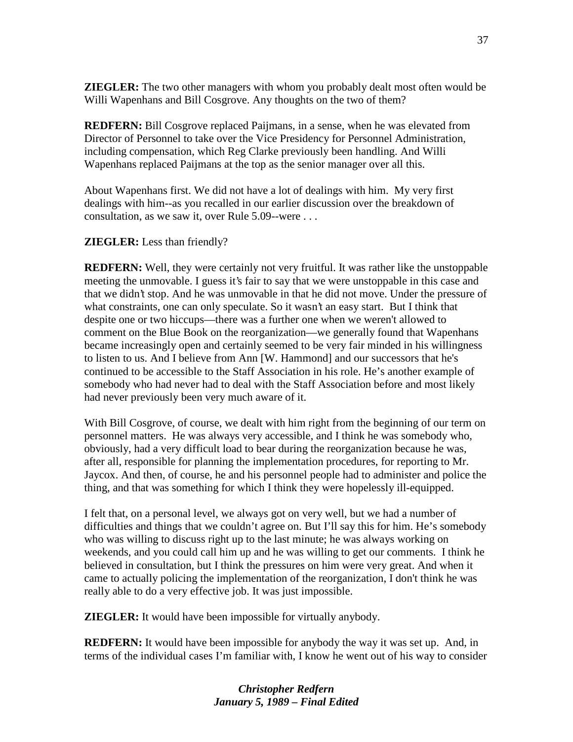**ZIEGLER:** The two other managers with whom you probably dealt most often would be Willi Wapenhans and Bill Cosgrove. Any thoughts on the two of them?

**REDFERN:** Bill Cosgrove replaced Paijmans, in a sense, when he was elevated from Director of Personnel to take over the Vice Presidency for Personnel Administration, including compensation, which Reg Clarke previously been handling. And Willi Wapenhans replaced Paijmans at the top as the senior manager over all this.

About Wapenhans first. We did not have a lot of dealings with him. My very first dealings with him--as you recalled in our earlier discussion over the breakdown of consultation, as we saw it, over Rule 5.09--were . . .

## **ZIEGLER:** Less than friendly?

**REDFERN:** Well, they were certainly not very fruitful. It was rather like the unstoppable meeting the unmovable. I guess it's fair to say that we were unstoppable in this case and that we didn't stop. And he was unmovable in that he did not move. Under the pressure of what constraints, one can only speculate. So it wasn't an easy start. But I think that despite one or two hiccups—there was a further one when we weren't allowed to comment on the Blue Book on the reorganization—we generally found that Wapenhans became increasingly open and certainly seemed to be very fair minded in his willingness to listen to us. And I believe from Ann [W. Hammond] and our successors that he's continued to be accessible to the Staff Association in his role. He's another example of somebody who had never had to deal with the Staff Association before and most likely had never previously been very much aware of it.

With Bill Cosgrove, of course, we dealt with him right from the beginning of our term on personnel matters. He was always very accessible, and I think he was somebody who, obviously, had a very difficult load to bear during the reorganization because he was, after all, responsible for planning the implementation procedures, for reporting to Mr. Jaycox. And then, of course, he and his personnel people had to administer and police the thing, and that was something for which I think they were hopelessly ill-equipped.

I felt that, on a personal level, we always got on very well, but we had a number of difficulties and things that we couldn't agree on. But I'll say this for him. He's somebody who was willing to discuss right up to the last minute; he was always working on weekends, and you could call him up and he was willing to get our comments. I think he believed in consultation, but I think the pressures on him were very great. And when it came to actually policing the implementation of the reorganization, I don't think he was really able to do a very effective job. It was just impossible.

**ZIEGLER:** It would have been impossible for virtually anybody.

**REDFERN:** It would have been impossible for anybody the way it was set up. And, in terms of the individual cases I'm familiar with, I know he went out of his way to consider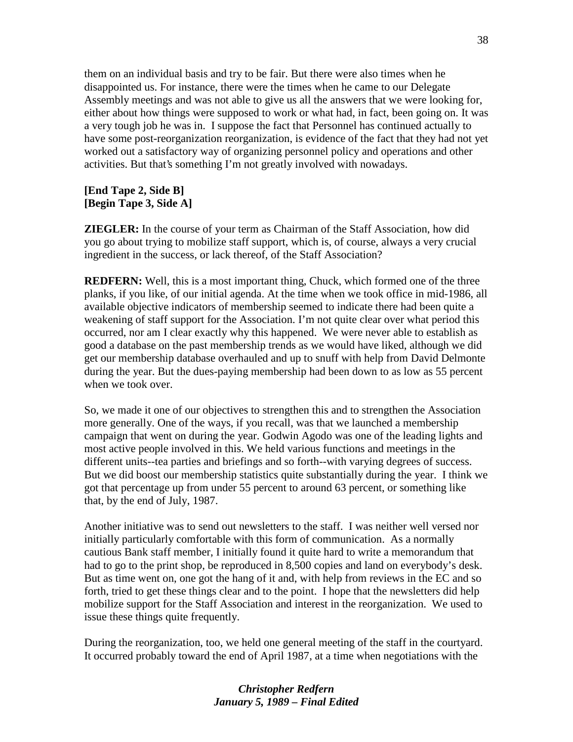them on an individual basis and try to be fair. But there were also times when he disappointed us. For instance, there were the times when he came to our Delegate Assembly meetings and was not able to give us all the answers that we were looking for, either about how things were supposed to work or what had, in fact, been going on. It was a very tough job he was in. I suppose the fact that Personnel has continued actually to have some post-reorganization reorganization, is evidence of the fact that they had not yet worked out a satisfactory way of organizing personnel policy and operations and other activities. But that's something I'm not greatly involved with nowadays.

## **[End Tape 2, Side B] [Begin Tape 3, Side A]**

**ZIEGLER:** In the course of your term as Chairman of the Staff Association, how did you go about trying to mobilize staff support, which is, of course, always a very crucial ingredient in the success, or lack thereof, of the Staff Association?

**REDFERN:** Well, this is a most important thing, Chuck, which formed one of the three planks, if you like, of our initial agenda. At the time when we took office in mid-1986, all available objective indicators of membership seemed to indicate there had been quite a weakening of staff support for the Association. I'm not quite clear over what period this occurred, nor am I clear exactly why this happened. We were never able to establish as good a database on the past membership trends as we would have liked, although we did get our membership database overhauled and up to snuff with help from David Delmonte during the year. But the dues-paying membership had been down to as low as 55 percent when we took over.

So, we made it one of our objectives to strengthen this and to strengthen the Association more generally. One of the ways, if you recall, was that we launched a membership campaign that went on during the year. Godwin Agodo was one of the leading lights and most active people involved in this. We held various functions and meetings in the different units--tea parties and briefings and so forth--with varying degrees of success. But we did boost our membership statistics quite substantially during the year. I think we got that percentage up from under 55 percent to around 63 percent, or something like that, by the end of July, 1987.

Another initiative was to send out newsletters to the staff. I was neither well versed nor initially particularly comfortable with this form of communication. As a normally cautious Bank staff member, I initially found it quite hard to write a memorandum that had to go to the print shop, be reproduced in 8,500 copies and land on everybody's desk. But as time went on, one got the hang of it and, with help from reviews in the EC and so forth, tried to get these things clear and to the point. I hope that the newsletters did help mobilize support for the Staff Association and interest in the reorganization. We used to issue these things quite frequently.

During the reorganization, too, we held one general meeting of the staff in the courtyard. It occurred probably toward the end of April 1987, at a time when negotiations with the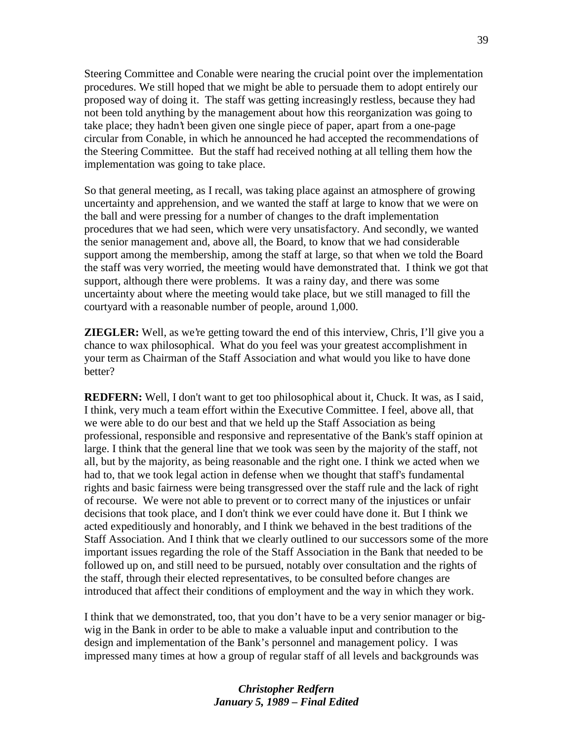Steering Committee and Conable were nearing the crucial point over the implementation procedures. We still hoped that we might be able to persuade them to adopt entirely our proposed way of doing it. The staff was getting increasingly restless, because they had not been told anything by the management about how this reorganization was going to take place; they hadn't been given one single piece of paper, apart from a one-page circular from Conable, in which he announced he had accepted the recommendations of the Steering Committee. But the staff had received nothing at all telling them how the implementation was going to take place.

So that general meeting, as I recall, was taking place against an atmosphere of growing uncertainty and apprehension, and we wanted the staff at large to know that we were on the ball and were pressing for a number of changes to the draft implementation procedures that we had seen, which were very unsatisfactory. And secondly, we wanted the senior management and, above all, the Board, to know that we had considerable support among the membership, among the staff at large, so that when we told the Board the staff was very worried, the meeting would have demonstrated that. I think we got that support, although there were problems. It was a rainy day, and there was some uncertainty about where the meeting would take place, but we still managed to fill the courtyard with a reasonable number of people, around 1,000.

**ZIEGLER:** Well, as we're getting toward the end of this interview, Chris, I'll give you a chance to wax philosophical. What do you feel was your greatest accomplishment in your term as Chairman of the Staff Association and what would you like to have done better?

**REDFERN:** Well, I don't want to get too philosophical about it, Chuck. It was, as I said, I think, very much a team effort within the Executive Committee. I feel, above all, that we were able to do our best and that we held up the Staff Association as being professional, responsible and responsive and representative of the Bank's staff opinion at large. I think that the general line that we took was seen by the majority of the staff, not all, but by the majority, as being reasonable and the right one. I think we acted when we had to, that we took legal action in defense when we thought that staff's fundamental rights and basic fairness were being transgressed over the staff rule and the lack of right of recourse. We were not able to prevent or to correct many of the injustices or unfair decisions that took place, and I don't think we ever could have done it. But I think we acted expeditiously and honorably, and I think we behaved in the best traditions of the Staff Association. And I think that we clearly outlined to our successors some of the more important issues regarding the role of the Staff Association in the Bank that needed to be followed up on, and still need to be pursued, notably over consultation and the rights of the staff, through their elected representatives, to be consulted before changes are introduced that affect their conditions of employment and the way in which they work.

I think that we demonstrated, too, that you don't have to be a very senior manager or bigwig in the Bank in order to be able to make a valuable input and contribution to the design and implementation of the Bank's personnel and management policy. I was impressed many times at how a group of regular staff of all levels and backgrounds was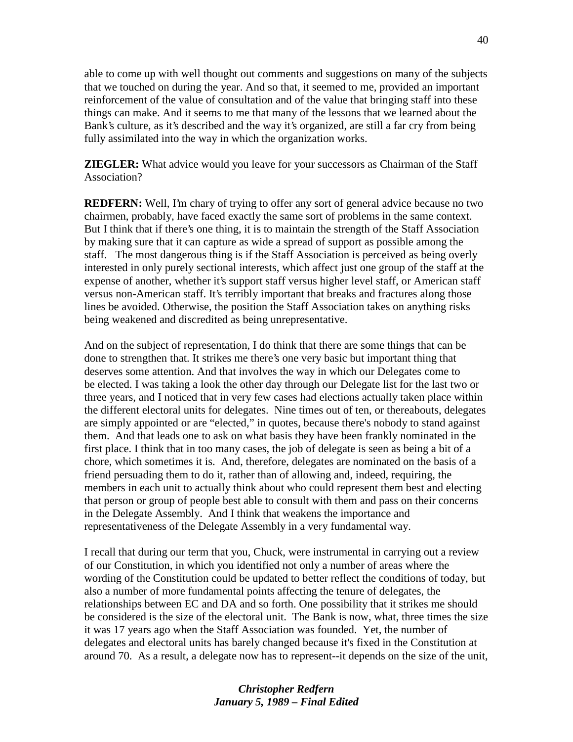able to come up with well thought out comments and suggestions on many of the subjects that we touched on during the year. And so that, it seemed to me, provided an important reinforcement of the value of consultation and of the value that bringing staff into these things can make. And it seems to me that many of the lessons that we learned about the Bank's culture, as it's described and the way it's organized, are still a far cry from being fully assimilated into the way in which the organization works.

**ZIEGLER:** What advice would you leave for your successors as Chairman of the Staff Association?

**REDFERN:** Well, I'm chary of trying to offer any sort of general advice because no two chairmen, probably, have faced exactly the same sort of problems in the same context. But I think that if there's one thing, it is to maintain the strength of the Staff Association by making sure that it can capture as wide a spread of support as possible among the staff. The most dangerous thing is if the Staff Association is perceived as being overly interested in only purely sectional interests, which affect just one group of the staff at the expense of another, whether it's support staff versus higher level staff, or American staff versus non-American staff. It's terribly important that breaks and fractures along those lines be avoided. Otherwise, the position the Staff Association takes on anything risks being weakened and discredited as being unrepresentative.

And on the subject of representation, I do think that there are some things that can be done to strengthen that. It strikes me there's one very basic but important thing that deserves some attention. And that involves the way in which our Delegates come to be elected. I was taking a look the other day through our Delegate list for the last two or three years, and I noticed that in very few cases had elections actually taken place within the different electoral units for delegates. Nine times out of ten, or thereabouts, delegates are simply appointed or are "elected," in quotes, because there's nobody to stand against them. And that leads one to ask on what basis they have been frankly nominated in the first place. I think that in too many cases, the job of delegate is seen as being a bit of a chore, which sometimes it is. And, therefore, delegates are nominated on the basis of a friend persuading them to do it, rather than of allowing and, indeed, requiring, the members in each unit to actually think about who could represent them best and electing that person or group of people best able to consult with them and pass on their concerns in the Delegate Assembly. And I think that weakens the importance and representativeness of the Delegate Assembly in a very fundamental way.

I recall that during our term that you, Chuck, were instrumental in carrying out a review of our Constitution, in which you identified not only a number of areas where the wording of the Constitution could be updated to better reflect the conditions of today, but also a number of more fundamental points affecting the tenure of delegates, the relationships between EC and DA and so forth. One possibility that it strikes me should be considered is the size of the electoral unit. The Bank is now, what, three times the size it was 17 years ago when the Staff Association was founded. Yet, the number of delegates and electoral units has barely changed because it's fixed in the Constitution at around 70. As a result, a delegate now has to represent--it depends on the size of the unit,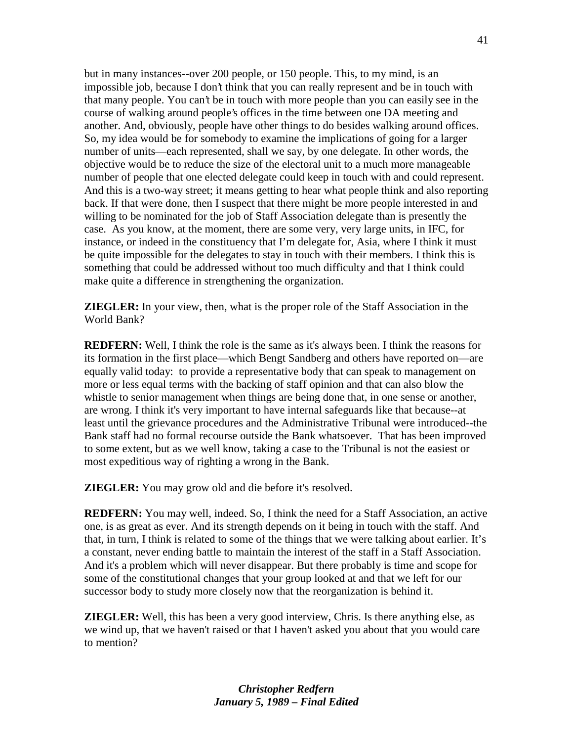but in many instances--over 200 people, or 150 people. This, to my mind, is an impossible job, because I don't think that you can really represent and be in touch with that many people. You can't be in touch with more people than you can easily see in the course of walking around people's offices in the time between one DA meeting and another. And, obviously, people have other things to do besides walking around offices. So, my idea would be for somebody to examine the implications of going for a larger number of units—each represented, shall we say, by one delegate. In other words, the objective would be to reduce the size of the electoral unit to a much more manageable number of people that one elected delegate could keep in touch with and could represent. And this is a two-way street; it means getting to hear what people think and also reporting back. If that were done, then I suspect that there might be more people interested in and willing to be nominated for the job of Staff Association delegate than is presently the case. As you know, at the moment, there are some very, very large units, in IFC, for instance, or indeed in the constituency that I'm delegate for, Asia, where I think it must be quite impossible for the delegates to stay in touch with their members. I think this is something that could be addressed without too much difficulty and that I think could make quite a difference in strengthening the organization.

**ZIEGLER:** In your view, then, what is the proper role of the Staff Association in the World Bank?

**REDFERN:** Well, I think the role is the same as it's always been. I think the reasons for its formation in the first place—which Bengt Sandberg and others have reported on—are equally valid today: to provide a representative body that can speak to management on more or less equal terms with the backing of staff opinion and that can also blow the whistle to senior management when things are being done that, in one sense or another, are wrong. I think it's very important to have internal safeguards like that because--at least until the grievance procedures and the Administrative Tribunal were introduced--the Bank staff had no formal recourse outside the Bank whatsoever. That has been improved to some extent, but as we well know, taking a case to the Tribunal is not the easiest or most expeditious way of righting a wrong in the Bank.

**ZIEGLER:** You may grow old and die before it's resolved.

**REDFERN:** You may well, indeed. So, I think the need for a Staff Association, an active one, is as great as ever. And its strength depends on it being in touch with the staff. And that, in turn, I think is related to some of the things that we were talking about earlier. It's a constant, never ending battle to maintain the interest of the staff in a Staff Association. And it's a problem which will never disappear. But there probably is time and scope for some of the constitutional changes that your group looked at and that we left for our successor body to study more closely now that the reorganization is behind it.

**ZIEGLER:** Well, this has been a very good interview, Chris. Is there anything else, as we wind up, that we haven't raised or that I haven't asked you about that you would care to mention?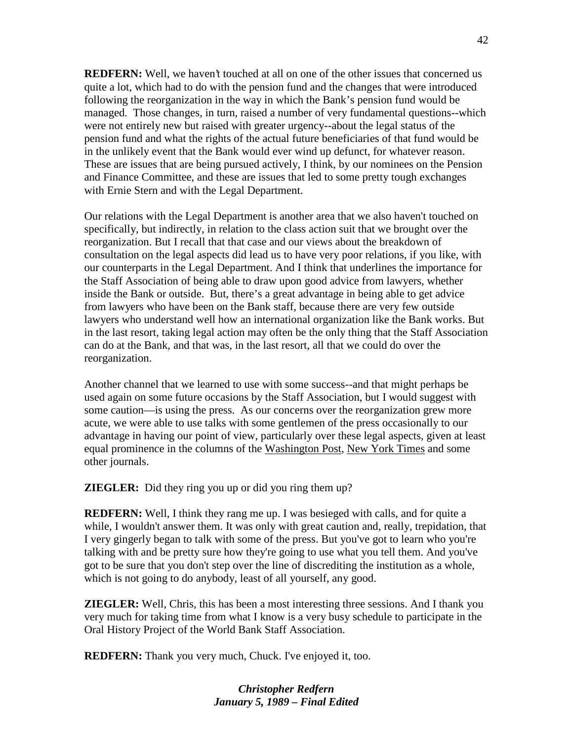**REDFERN:** Well, we haven't touched at all on one of the other issues that concerned us quite a lot, which had to do with the pension fund and the changes that were introduced following the reorganization in the way in which the Bank's pension fund would be managed. Those changes, in turn, raised a number of very fundamental questions--which were not entirely new but raised with greater urgency--about the legal status of the pension fund and what the rights of the actual future beneficiaries of that fund would be in the unlikely event that the Bank would ever wind up defunct, for whatever reason. These are issues that are being pursued actively, I think, by our nominees on the Pension and Finance Committee, and these are issues that led to some pretty tough exchanges with Ernie Stern and with the Legal Department.

Our relations with the Legal Department is another area that we also haven't touched on specifically, but indirectly, in relation to the class action suit that we brought over the reorganization. But I recall that that case and our views about the breakdown of consultation on the legal aspects did lead us to have very poor relations, if you like, with our counterparts in the Legal Department. And I think that underlines the importance for the Staff Association of being able to draw upon good advice from lawyers, whether inside the Bank or outside. But, there's a great advantage in being able to get advice from lawyers who have been on the Bank staff, because there are very few outside lawyers who understand well how an international organization like the Bank works. But in the last resort, taking legal action may often be the only thing that the Staff Association can do at the Bank, and that was, in the last resort, all that we could do over the reorganization.

Another channel that we learned to use with some success--and that might perhaps be used again on some future occasions by the Staff Association, but I would suggest with some caution—is using the press. As our concerns over the reorganization grew more acute, we were able to use talks with some gentlemen of the press occasionally to our advantage in having our point of view, particularly over these legal aspects, given at least equal prominence in the columns of the Washington Post, New York Times and some other journals.

**ZIEGLER:** Did they ring you up or did you ring them up?

**REDFERN:** Well, I think they rang me up. I was besieged with calls, and for quite a while, I wouldn't answer them. It was only with great caution and, really, trepidation, that I very gingerly began to talk with some of the press. But you've got to learn who you're talking with and be pretty sure how they're going to use what you tell them. And you've got to be sure that you don't step over the line of discrediting the institution as a whole, which is not going to do anybody, least of all yourself, any good.

**ZIEGLER:** Well, Chris, this has been a most interesting three sessions. And I thank you very much for taking time from what I know is a very busy schedule to participate in the Oral History Project of the World Bank Staff Association.

**REDFERN:** Thank you very much, Chuck. I've enjoyed it, too.